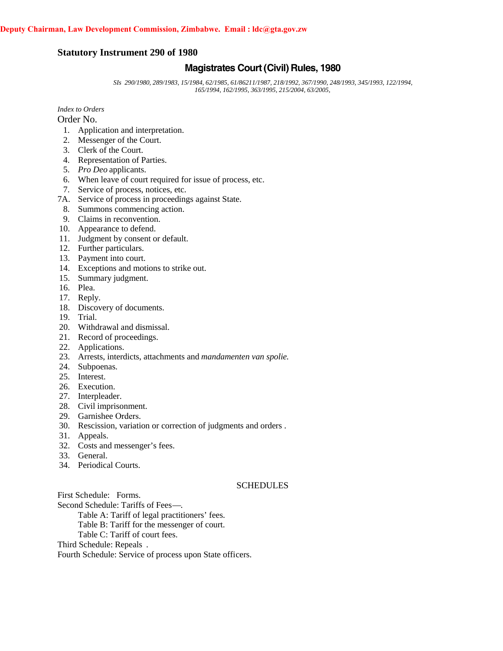# **Statutory Instrument 290 of 1980**

# **Magistrates Court (Civil) Rules, 1980**

*SIs 290/1980, 289/1983, 15/1984, 62/1985, 61/86211/1987, 218/1992, 367/1990, 248/1993, 345/1993, 122/1994, 165/1994, 162/1995, 363/1995, 215/2004, 63/2005,*

*Index to Orders*

Order No.

- 1. Application and interpretation.
- 2. Messenger of the Court.
- 3. Clerk of the Court.
- 4. Representation of Parties.
- 5. *Pro Deo* applicants.
- 6. When leave of court required for issue of process, etc.
- 7. Service of process, notices, etc.
- 7A. Service of process in proceedings against State.
- 8. Summons commencing action.
- 9. Claims in reconvention.
- 10. Appearance to defend.
- 11. Judgment by consent or default.
- 12. Further particulars.
- 13. Payment into court.
- 14. Exceptions and motions to strike out.
- 15. Summary judgment.
- 16. Plea.
- 17. Reply.
- 18. Discovery of documents.
- 19. Trial.
- 20. Withdrawal and dismissal.
- 21. Record of proceedings.
- 22. Applications.
- 23. Arrests, interdicts, attachments and *mandamenten van spolie*.
- 24. Subpoenas.
- 25. Interest.
- 26. Execution.
- 27. Interpleader.
- 28. Civil imprisonment.
- 29. Garnishee Orders.
- 30. Rescission, variation or correction of judgments and orders .
- 31. Appeals.
- 32. Costs and messenger's fees.
- 33. General.
- 34. Periodical Courts.

# **SCHEDULES**

First Schedule: Forms.

Second Schedule: Tariffs of Fees—.

Table A: Tariff of legal practitioners' fees.

Table B: Tariff for the messenger of court.

Table C: Tariff of court fees.

Third Schedule: Repeals .

Fourth Schedule: Service of process upon State officers.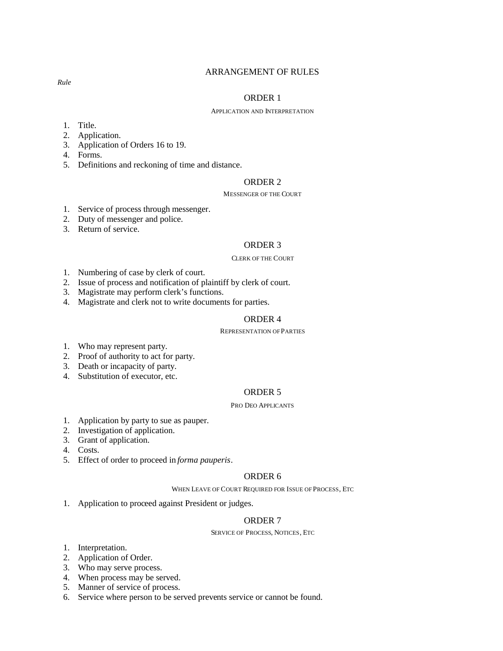### ARRANGEMENT OF RULES

#### ORDER 1

#### APPLICATION AND INTERPRETATION

- 1. Title.
- 2. Application.
- 3. Application of Orders 16 to 19.
- 4. Forms.
- 5. Definitions and reckoning of time and distance.

# ORDER 2

### MESSENGER OF THE COURT

- 1. Service of process through messenger.
- 2. Duty of messenger and police.
- 3. Return of service.

#### ORDER 3

#### CLERK OF THE COURT

- 1. Numbering of case by clerk of court.
- 2. Issue of process and notification of plaintiff by clerk of court.
- 3. Magistrate may perform clerk's functions.
- 4. Magistrate and clerk not to write documents for parties.

### ORDER 4

#### REPRESENTATION OFPARTIES

- 1. Who may represent party.
- 2. Proof of authority to act for party.
- 3. Death or incapacity of party.
- 4. Substitution of executor, etc.

# ORDER 5

#### PRO DEO APPLICANTS

- 1. Application by party to sue as pauper.
- 2. Investigation of application.
- 3. Grant of application.
- 4. Costs.
- 5. Effect of order to proceed in *forma pauperis*.

#### ORDER 6

WHEN LEAVE OF COURT REQUIRED FOR ISSUE OF PROCESS, ETC

1. Application to proceed against President or judges.

# ORDER 7

#### SERVICE OF PROCESS, NOTICES, ETC

- 1. Interpretation.
- 2. Application of Order.
- 3. Who may serve process.
- 4. When process may be served.
- 5. Manner of service of process.
- 6. Service where person to be served prevents service or cannot be found.

*Rule*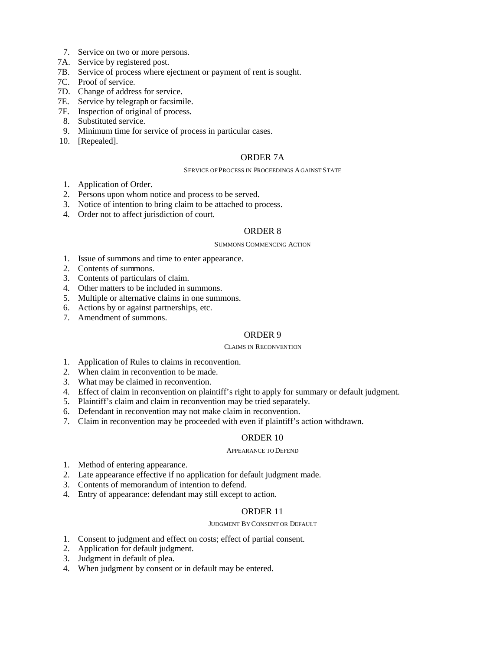- 7. Service on two or more persons.
- 7A. Service by registered post.
- 7B. Service of process where ejectment or payment of rent is sought.
- 7C. Proof of service.
- 7D. Change of address for service.
- 7E. Service by telegraph or facsimile.
- 7F. Inspection of original of process.
- 8. Substituted service.
- 9. Minimum time for service of process in particular cases.
- 10. [Repealed].

### ORDER 7A

#### SERVICE OF PROCESS IN PROCEEDINGS AGAINST STATE

- 1. Application of Order.
- 2. Persons upon whom notice and process to be served.
- 3. Notice of intention to bring claim to be attached to process.
- 4. Order not to affect jurisdiction of court.

# ORDER 8

### SUMMONS COMMENCING ACTION

- 1. Issue of summons and time to enter appearance.
- 2. Contents of summons.
- 3. Contents of particulars of claim.
- 4. Other matters to be included in summons.
- 5. Multiple or alternative claims in one summons.
- 6. Actions by or against partnerships, etc.
- 7. Amendment of summons.

# ORDER 9

#### CLAIMS IN RECONVENTION

- 1. Application of Rules to claims in reconvention.
- 2. When claim in reconvention to be made.
- 3. What may be claimed in reconvention.
- 4. Effect of claim in reconvention on plaintiff's right to apply for summary or default judgment.
- 5. Plaintiff's claim and claim in reconvention may be tried separately.
- 6. Defendant in reconvention may not make claim in reconvention.
- 7. Claim in reconvention may be proceeded with even if plaintiff's action withdrawn.

### ORDER 10

#### APPEARANCE TO DEFEND

- 1. Method of entering appearance.
- 2. Late appearance effective if no application for default judgment made.
- 3. Contents of memorandum of intention to defend.
- 4. Entry of appearance: defendant may still except to action.

# ORDER 11

#### JUDGMENT BYCONSENT OR DEFAULT

- 1. Consent to judgment and effect on costs; effect of partial consent.
- 2. Application for default judgment.
- 3. Judgment in default of plea.
- 4. When judgment by consent or in default may be entered.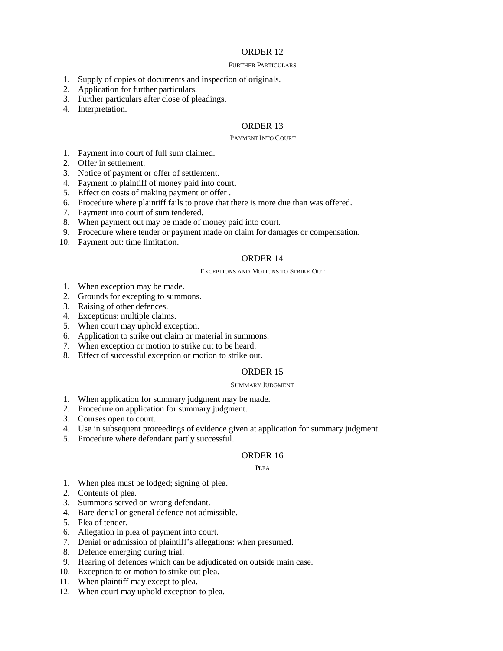#### FURTHER PARTICULARS

- 1. Supply of copies of documents and inspection of originals.
- 2. Application for further particulars.
- 3. Further particulars after close of pleadings.
- 4. Interpretation.

### ORDER 13

#### PAYMENT INTO COURT

- 1. Payment into court of full sum claimed.
- 2. Offer in settlement.
- 3. Notice of payment or offer of settlement.
- 4. Payment to plaintiff of money paid into court.
- 5. Effect on costs of making payment or offer .
- 6. Procedure where plaintiff fails to prove that there is more due than was offered.
- 7. Payment into court of sum tendered.
- 8. When payment out may be made of money paid into court.
- 9. Procedure where tender or payment made on claim for damages or compensation.
- 10. Payment out: time limitation.

### ORDER 14

#### EXCEPTIONS AND MOTIONS TO STRIKE OUT

- 1. When exception may be made.
- 2. Grounds for excepting to summons.
- 3. Raising of other defences.
- 4. Exceptions: multiple claims.
- 5. When court may uphold exception.
- 6. Application to strike out claim or material in summons.
- 7. When exception or motion to strike out to be heard.
- 8. Effect of successful exception or motion to strike out.

# ORDER 15

#### SUMMARY JUDGMENT

- 1. When application for summary judgment may be made.
- 2. Procedure on application for summary judgment.
- 3. Courses open to court.
- 4. Use in subsequent proceedings of evidence given at application for summary judgment.
- 5. Procedure where defendant partly successful.

#### ORDER 16

#### **PLEA**

- 1. When plea must be lodged; signing of plea.
- 2. Contents of plea.
- 3. Summons served on wrong defendant.
- 4. Bare denial or general defence not admissible.
- 5. Plea of tender.
- 6. Allegation in plea of payment into court.
- 7. Denial or admission of plaintiff's allegations: when presumed.
- 8. Defence emerging during trial.
- 9. Hearing of defences which can be adjudicated on outside main case.
- 10. Exception to or motion to strike out plea.
- 11. When plaintiff may except to plea.
- 12. When court may uphold exception to plea.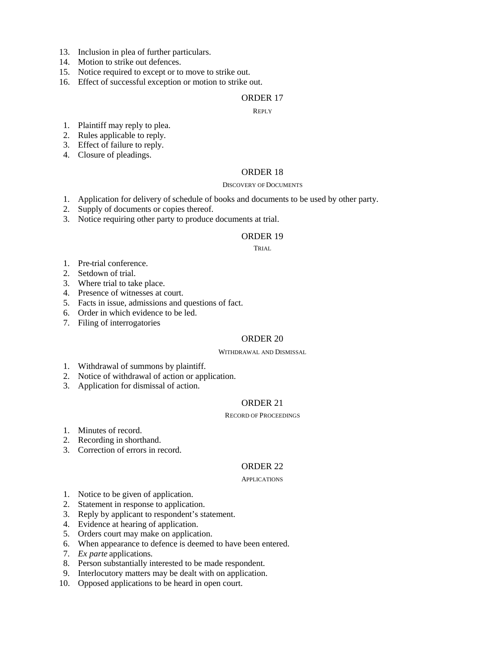- 13. Inclusion in plea of further particulars.
- 14. Motion to strike out defences.
- 15. Notice required to except or to move to strike out.
- 16. Effect of successful exception or motion to strike out.

#### REPLY

- 1. Plaintiff may reply to plea.
- 2. Rules applicable to reply.
- 3. Effect of failure to reply.
- 4. Closure of pleadings.

# ORDER 18

#### DISCOVERY OF DOCUMENTS

- 1. Application for delivery of schedule of books and documents to be used by other party.
- 2. Supply of documents or copies thereof.
- 3. Notice requiring other party to produce documents at trial.

#### ORDER 19

### TRIAL

- 1. Pre-trial conference.
- 2. Setdown of trial.
- 3. Where trial to take place.
- 4. Presence of witnesses at court.
- 5. Facts in issue, admissions and questions of fact.
- 6. Order in which evidence to be led.
- 7. Filing of interrogatories

# ORDER 20

#### WITHDRAWAL AND DISMISSAL

- 1. Withdrawal of summons by plaintiff.
- 2. Notice of withdrawal of action or application.
- 3. Application for dismissal of action.

### ORDER 21

#### RECORD OF PROCEEDINGS

- 1. Minutes of record.
- 2. Recording in shorthand.
- 3. Correction of errors in record.

#### ORDER 22

#### APPLICATIONS

- 1. Notice to be given of application.
- 2. Statement in response to application.
- 3. Reply by applicant to respondent's statement.
- 4. Evidence at hearing of application.
- 5. Orders court may make on application.
- 6. When appearance to defence is deemed to have been entered.
- 7. *Ex parte* applications.
- 8. Person substantially interested to be made respondent.
- 9. Interlocutory matters may be dealt with on application.
- 10. Opposed applications to be heard in open court.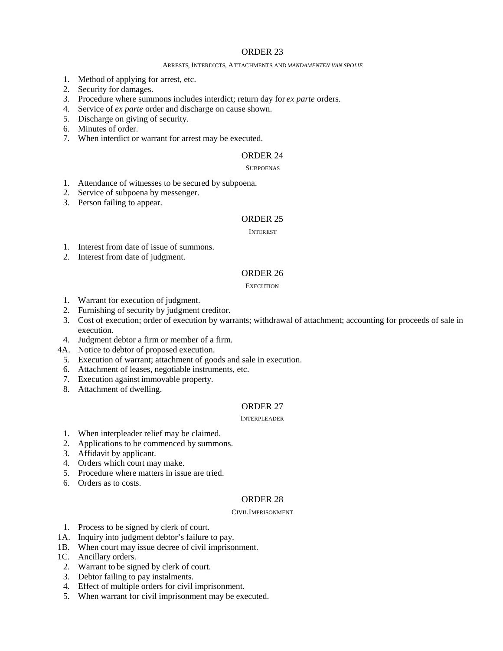#### ARRESTS, INTERDICTS, ATTACHMENTS AND *MANDAMENTEN VAN SPOLIE*

- 1. Method of applying for arrest, etc.
- 2. Security for damages.
- 3. Procedure where summons includes interdict; return day for *ex parte* orders.
- 4. Service of *ex parte* order and discharge on cause shown.
- 5. Discharge on giving of security.
- 6. Minutes of order.
- 7. When interdict or warrant for arrest may be executed.

# ORDER 24

#### **SUBPOENAS**

- 1. Attendance of witnesses to be secured by subpoena.
- 2. Service of subpoena by messenger.
- 3. Person failing to appear.

# ORDER 25

#### INTEREST

- 1. Interest from date of issue of summons.
- 2. Interest from date of judgment.

# ORDER 26

**EXECUTION** 

- 1. Warrant for execution of judgment.
- 2. Furnishing of security by judgment creditor.
- 3. Cost of execution; order of execution by warrants; withdrawal of attachment; accounting for proceeds of sale in execution.
- 4. Judgment debtor a firm or member of a firm.
- 4A. Notice to debtor of proposed execution.
	- 5. Execution of warrant; attachment of goods and sale in execution.
	- 6. Attachment of leases, negotiable instruments, etc.
	- 7. Execution against immovable property.
	- 8. Attachment of dwelling.

# ORDER 27

#### INTERPLEADER

- 1. When interpleader relief may be claimed.
- 2. Applications to be commenced by summons.
- 3. Affidavit by applicant.
- 4. Orders which court may make.
- 5. Procedure where matters in issue are tried.
- 6. Orders as to costs.

# ORDER 28

#### CIVILIMPRISONMENT

- 1. Process to be signed by clerk of court.
- 1A. Inquiry into judgment debtor's failure to pay.
- 1B. When court may issue decree of civil imprisonment.
- 1C. Ancillary orders.
- 2. Warrant to be signed by clerk of court.
- 3. Debtor failing to pay instalments.
- 4. Effect of multiple orders for civil imprisonment.
- 5. When warrant for civil imprisonment may be executed.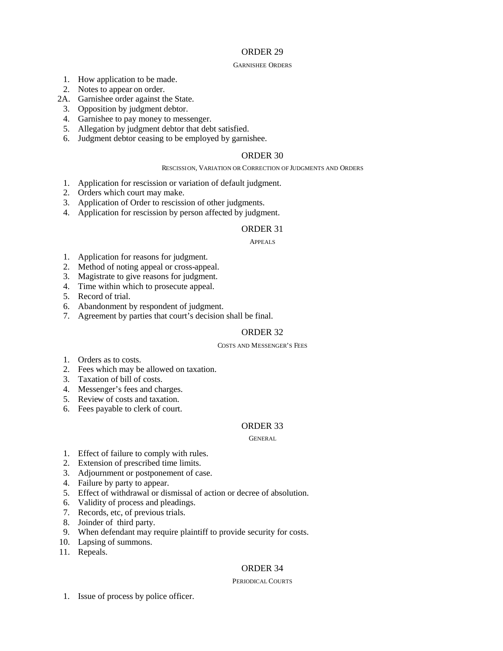#### GARNISHEE ORDERS

- 1. How application to be made.
- 2. Notes to appear on order.
- 2A. Garnishee order against the State.
	- 3. Opposition by judgment debtor.
	- 4. Garnishee to pay money to messenger.
	- 5. Allegation by judgment debtor that debt satisfied.
	- 6. Judgment debtor ceasing to be employed by garnishee.

# ORDER 30

#### RESCISSION, VARIATION OR CORRECTION OF JUDGMENTS AND ORDERS

- 1. Application for rescission or variation of default judgment.
- 2. Orders which court may make.
- 3. Application of Order to rescission of other judgments.
- 4. Application for rescission by person affected by judgment.

# ORDER 31

#### APPEALS

- 1. Application for reasons for judgment.
- 2. Method of noting appeal or cross-appeal.
- 3. Magistrate to give reasons for judgment.
- 4. Time within which to prosecute appeal.
- 5. Record of trial.
- 6. Abandonment by respondent of judgment.
- 7. Agreement by parties that court's decision shall be final.

# ORDER 32

### COSTS AND MESSENGER'S FEES

- 1. Orders as to costs.
- 2. Fees which may be allowed on taxation.
- 3. Taxation of bill of costs.
- 4. Messenger's fees and charges.
- 5. Review of costs and taxation.
- 6. Fees payable to clerk of court.

# ORDER 33

#### **GENERAL**

- 1. Effect of failure to comply with rules.
- 2. Extension of prescribed time limits.
- 3. Adjournment or postponement of case.
- 4. Failure by party to appear.
- 5. Effect of withdrawal or dismissal of action or decree of absolution.
- 6. Validity of process and pleadings.
- 7. Records, etc, of previous trials.
- 8. Joinder of third party.
- 9. When defendant may require plaintiff to provide security for costs.
- 10. Lapsing of summons.
- 11. Repeals.

# ORDER 34

#### PERIODICAL COURTS

1. Issue of process by police officer.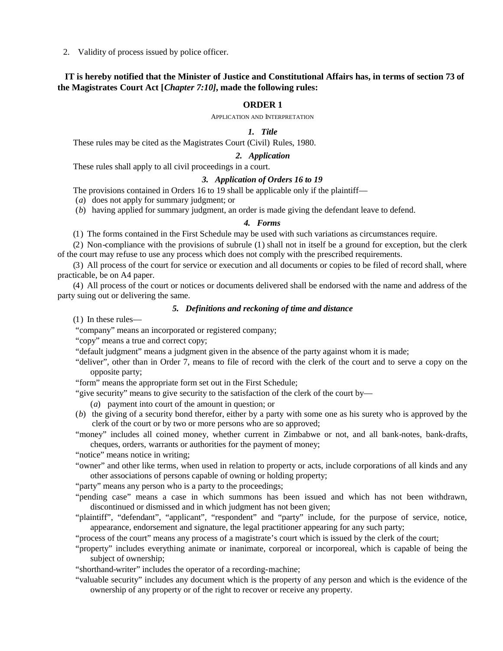2. Validity of process issued by police officer.

# **IT is hereby notified that the Minister of Justice and Constitutional Affairs has, in terms of section 73 of the Magistrates Court Act [***Chapter 7:10]***, made the following rules:**

### **ORDER 1**

APPLICATION AND INTERPRETATION

### *1. Title*

These rules may be cited as the Magistrates Court (Civil) Rules, 1980.

### *2. Application*

These rules shall apply to all civil proceedings in a court.

# *3. Application of Orders 16 to 19*

The provisions contained in Orders 16 to 19 shall be applicable only if the plaintiff—

(*a*) does not apply for summary judgment; or

(*b*) having applied for summary judgment, an order is made giving the defendant leave to defend.

### *4. Forms*

(1) The forms contained in the First Schedule may be used with such variations as circumstances require.

(2) Non-compliance with the provisions of subrule (1) shall not in itself be a ground for exception, but the clerk of the court may refuse to use any process which does not comply with the prescribed requirements.

(3) All process of the court for service or execution and all documents or copies to be filed of record shall, where practicable, be on A4 paper.

(4) All process of the court or notices or documents delivered shall be endorsed with the name and address of the party suing out or delivering the same.

### *5. Definitions and reckoning of time and distance*

(1) In these rules—

"company" means an incorporated or registered company;

"copy" means a true and correct copy;

"default judgment" means a judgment given in the absence of the party against whom it is made;

"deliver", other than in Order 7, means to file of record with the clerk of the court and to serve a copy on the opposite party;

"form" means the appropriate form set out in the First Schedule;

"give security" means to give security to the satisfaction of the clerk of the court by—

(*a*) payment into court of the amount in question; or

(*b*) the giving of a security bond therefor, either by a party with some one as his surety who is approved by the clerk of the court or by two or more persons who are so approved;

"money" includes all coined money, whether current in Zimbabwe or not, and all bank-notes, bank-drafts, cheques, orders, warrants or authorities for the payment of money;

"notice" means notice in writing;

"owner" and other like terms, when used in relation to property or acts, include corporations of all kinds and any other associations of persons capable of owning or holding property;

"party" means any person who is a party to the proceedings;

"pending case" means a case in which summons has been issued and which has not been withdrawn, discontinued or dismissed and in which judgment has not been given;

"plaintiff", "defendant", "applicant", "respondent" and "party" include, for the purpose of service, notice, appearance, endorsement and signature, the legal practitioner appearing for any such party;

"process of the court" means any process of a magistrate's court which is issued by the clerk of the court;

"property" includes everything animate or inanimate, corporeal or incorporeal, which is capable of being the subject of ownership;

"shorthand-writer" includes the operator of a recording-machine;

"valuable security" includes any document which is the property of any person and which is the evidence of the ownership of any property or of the right to recover or receive any property.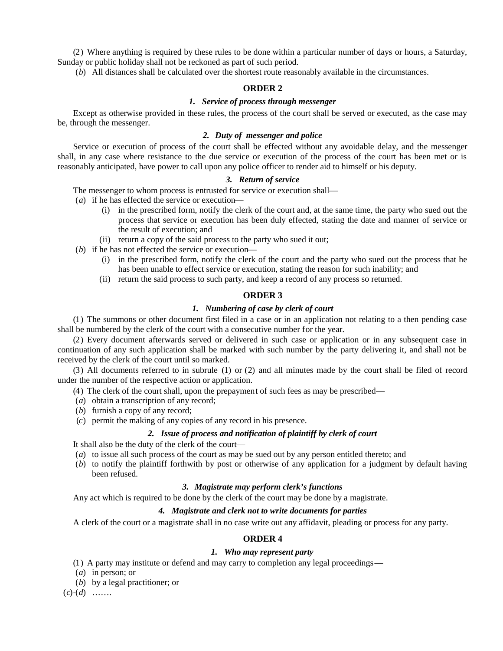(2) Where anything is required by these rules to be done within a particular number of days or hours, a Saturday, Sunday or public holiday shall not be reckoned as part of such period.

(*b*) All distances shall be calculated over the shortest route reasonably available in the circumstances.

# **ORDER 2**

# *1. Service of process through messenger*

Except as otherwise provided in these rules, the process of the court shall be served or executed, as the case may be, through the messenger.

# *2. Duty of messenger and police*

Service or execution of process of the court shall be effected without any avoidable delay, and the messenger shall, in any case where resistance to the due service or execution of the process of the court has been met or is reasonably anticipated, have power to call upon any police officer to render aid to himself or his deputy.

# *3. Return of service*

The messenger to whom process is entrusted for service or execution shall—

(*a*) if he has effected the service or execution—

- (i) in the prescribed form, notify the clerk of the court and, at the same time, the party who sued out the process that service or execution has been duly effected, stating the date and manner of service or the result of execution; and
- (ii) return a copy of the said process to the party who sued it out;
- (*b*) if he has not effected the service or execution—
	- (i) in the prescribed form, notify the clerk of the court and the party who sued out the process that he has been unable to effect service or execution, stating the reason for such inability; and
	- (ii) return the said process to such party, and keep a record of any process so returned.

### **ORDER 3**

### *1. Numbering of case by clerk of court*

(1) The summons or other document first filed in a case or in an application not relating to a then pending case shall be numbered by the clerk of the court with a consecutive number for the year.

(2) Every document afterwards served or delivered in such case or application or in any subsequent case in continuation of any such application shall be marked with such number by the party delivering it, and shall not be received by the clerk of the court until so marked.

(3) All documents referred to in subrule (1) or (2) and all minutes made by the court shall be filed of record under the number of the respective action or application.

- (4) The clerk of the court shall, upon the prepayment of such fees as may be prescribed—
- (*a*) obtain a transcription of any record;
- (*b*) furnish a copy of any record;
- (*c*) permit the making of any copies of any record in his presence.

### *2. Issue of process and notification of plaintiff by clerk of court*

It shall also be the duty of the clerk of the court—

- (*a*) to issue all such process of the court as may be sued out by any person entitled thereto; and
- (*b*) to notify the plaintiff forthwith by post or otherwise of any application for a judgment by default having been refused.

#### *3. Magistrate may perform clerk's functions*

Any act which is required to be done by the clerk of the court may be done by a magistrate.

# *4. Magistrate and clerk not to write documents for parties*

A clerk of the court or a magistrate shall in no case write out any affidavit, pleading or process for any party.

# **ORDER 4**

### *1. Who may represent party*

- (1) A party may institute or defend and may carry to completion any legal proceedings—
- (*a*) in person; or
- (*b*) by a legal practitioner; or

 $(c)$ - $(d)$  ……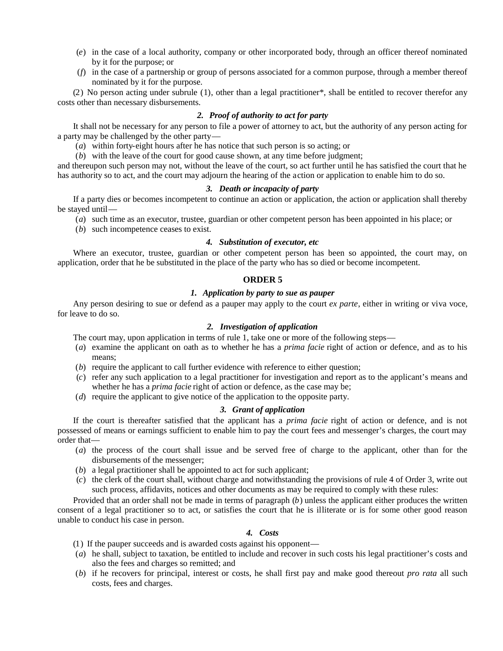- (*e*) in the case of a local authority, company or other incorporated body, through an officer thereof nominated by it for the purpose; or
- (*f*) in the case of a partnership or group of persons associated for a common purpose, through a member thereof nominated by it for the purpose.

(2) No person acting under subrule (1), other than a legal practitioner\*, shall be entitled to recover therefor any costs other than necessary disbursements.

#### *2. Proof of authority to act for party*

It shall not be necessary for any person to file a power of attorney to act, but the authority of any person acting for a party may be challenged by the other party—

(*a*) within forty-eight hours after he has notice that such person is so acting; or

(*b*) with the leave of the court for good cause shown, at any time before judgment;

and thereupon such person may not, without the leave of the court, so act further until he has satisfied the court that he has authority so to act, and the court may adjourn the hearing of the action or application to enable him to do so.

# *3. Death or incapacity of party*

If a party dies or becomes incompetent to continue an action or application, the action or application shall thereby be stayed until—

- (*a*) such time as an executor, trustee, guardian or other competent person has been appointed in his place; or
- (*b*) such incompetence ceases to exist.

#### *4. Substitution of executor, etc*

Where an executor, trustee, guardian or other competent person has been so appointed, the court may, on application, order that he be substituted in the place of the party who has so died or become incompetent.

# **ORDER 5**

### *1. Application by party to sue as pauper*

Any person desiring to sue or defend as a pauper may apply to the court *ex parte*, either in writing or viva voce, for leave to do so.

## *2. Investigation of application*

The court may, upon application in terms of rule 1, take one or more of the following steps—

- (*a*) examine the applicant on oath as to whether he has a *prima facie* right of action or defence, and as to his means;
- (*b*) require the applicant to call further evidence with reference to either question;
- (*c*) refer any such application to a legal practitioner for investigation and report as to the applicant's means and whether he has a *prima facie* right of action or defence, as the case may be;
- (*d*) require the applicant to give notice of the application to the opposite party.

# *3. Grant of application*

If the court is thereafter satisfied that the applicant has a *prima facie* right of action or defence, and is not possessed of means or earnings sufficient to enable him to pay the court fees and messenger's charges, the court may order that—

- (*a*) the process of the court shall issue and be served free of charge to the applicant, other than for the disbursements of the messenger;
- (*b*) a legal practitioner shall be appointed to act for such applicant;
- (*c*) the clerk of the court shall, without charge and notwithstanding the provisions of rule 4 of Order 3, write out such process, affidavits, notices and other documents as may be required to comply with these rules:

Provided that an order shall not be made in terms of paragraph (*b*) unless the applicant either produces the written consent of a legal practitioner so to act, or satisfies the court that he is illiterate or is for some other good reason unable to conduct his case in person.

# *4. Costs*

- (1) If the pauper succeeds and is awarded costs against his opponent—
- (*a*) he shall, subject to taxation, be entitled to include and recover in such costs his legal practitioner's costs and also the fees and charges so remitted; and
- (*b*) if he recovers for principal, interest or costs, he shall first pay and make good thereout *pro rata* all such costs, fees and charges.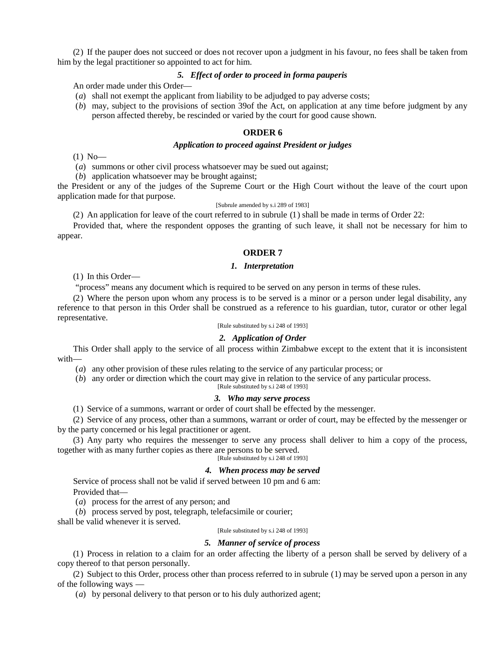(2) If the pauper does not succeed or does not recover upon a judgment in his favour, no fees shall be taken from him by the legal practitioner so appointed to act for him.

#### *5. Effect of order to proceed in forma pauperis*

An order made under this Order—

- (*a*) shall not exempt the applicant from liability to be adjudged to pay adverse costs;
- (*b*) may, subject to the provisions of section 39of the Act, on application at any time before judgment by any person affected thereby, be rescinded or varied by the court for good cause shown.

### **ORDER 6**

#### *Application to proceed against President or judges*

 $(1)$  No-

(*a*) summons or other civil process whatsoever may be sued out against;

(*b*) application whatsoever may be brought against;

the President or any of the judges of the Supreme Court or the High Court without the leave of the court upon application made for that purpose.

### [Subrule amended by s.i 289 of 1983]

(2) An application for leave of the court referred to in subrule (1) shall be made in terms of Order 22:

Provided that, where the respondent opposes the granting of such leave, it shall not be necessary for him to appear.

#### **ORDER 7**

### *1. Interpretation*

(1) In this Order—

"process" means any document which is required to be served on any person in terms of these rules.

(2) Where the person upon whom any process is to be served is a minor or a person under legal disability, any reference to that person in this Order shall be construed as a reference to his guardian, tutor, curator or other legal representative.

[Rule substituted by s.i 248 of 1993]

# *2. Application of Order*

This Order shall apply to the service of all process within Zimbabwe except to the extent that it is inconsistent with—

(*a*) any other provision of these rules relating to the service of any particular process; or

(*b*) any order or direction which the court may give in relation to the service of any particular process.

[Rule substituted by s.i 248 of 1993]

#### *3. Who may serve process*

(1) Service of a summons, warrant or order of court shall be effected by the messenger.

(2) Service of any process, other than a summons, warrant or order of court, may be effected by the messenger or by the party concerned or his legal practitioner or agent.

(3) Any party who requires the messenger to serve any process shall deliver to him a copy of the process, together with as many further copies as there are persons to be served.

[Rule substituted by s.i 248 of 1993]

# *4. When process may be served*

Service of process shall not be valid if served between 10 pm and 6 am: Provided that—

(*a*) process for the arrest of any person; and

(*b*) process served by post, telegraph, telefacsimile or courier;

shall be valid whenever it is served.

[Rule substituted by s.i 248 of 1993]

#### *5. Manner of service of process*

(1) Process in relation to a claim for an order affecting the liberty of a person shall be served by delivery of a copy thereof to that person personally.

(2) Subject to this Order, process other than process referred to in subrule (1) may be served upon a person in any of the following ways —

(*a*) by personal delivery to that person or to his duly authorized agent;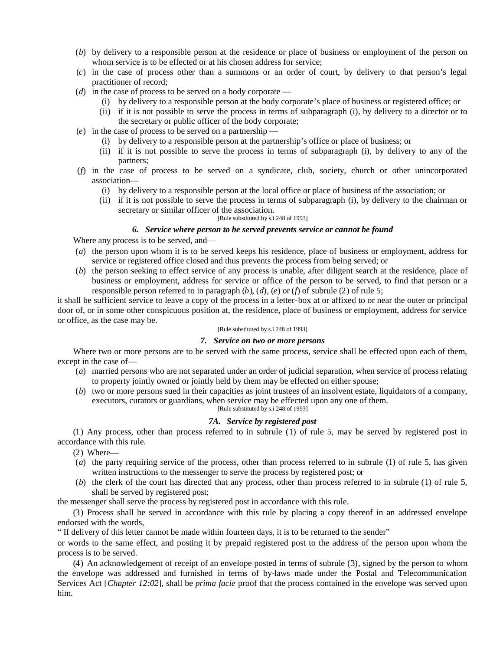- (*b*) by delivery to a responsible person at the residence or place of business or employment of the person on whom service is to be effected or at his chosen address for service;
- (*c*) in the case of process other than a summons or an order of court, by delivery to that person's legal practitioner of record;
- (*d*) in the case of process to be served on a body corporate
	- (i) by delivery to a responsible person at the body corporate's place of business or registered office; or
	- (ii) if it is not possible to serve the process in terms of subparagraph (i), by delivery to a director or to the secretary or public officer of the body corporate;
- (*e*) in the case of process to be served on a partnership
	- (i) by delivery to a responsible person at the partnership's office or place of business; or
	- (ii) if it is not possible to serve the process in terms of subparagraph (i), by delivery to any of the partners;
- (*f*) in the case of process to be served on a syndicate, club, society, church or other unincorporated association—
	- (i) by delivery to a responsible person at the local office or place of business of the association; or
	- (ii) if it is not possible to serve the process in terms of subparagraph (i), by delivery to the chairman or secretary or similar officer of the association.

#### [Rule substituted by s.i 248 of 1993]

### *6. Service where person to be served prevents service or cannot be found*

Where any process is to be served, and—

- (*a*) the person upon whom it is to be served keeps his residence, place of business or employment, address for service or registered office closed and thus prevents the process from being served; or
- (*b*) the person seeking to effect service of any process is unable, after diligent search at the residence, place of business or employment, address for service or office of the person to be served, to find that person or a responsible person referred to in paragraph (*b*), (*d*), (*e*) or (*f*) of subrule (2) of rule 5;

it shall be sufficient service to leave a copy of the process in a letter-box at or affixed to or near the outer or principal door of, or in some other conspicuous position at, the residence, place of business or employment, address for service or office, as the case may be.

#### [Rule substituted by s.i 248 of 1993]

#### *7. Service on two or more persons*

Where two or more persons are to be served with the same process, service shall be effected upon each of them, except in the case of—

- (*a*) married persons who are not separated under an order of judicial separation, when service of process relating to property jointly owned or jointly held by them may be effected on either spouse;
- (*b*) two or more persons sued in their capacities as joint trustees of an insolvent estate, liquidators of a company, executors, curators or guardians, when service may be effected upon any one of them. [Rule substituted by s.i 248 of 1993]

# *7A. Service by registered post*

(1) Any process, other than process referred to in subrule (1) of rule 5, may be served by registered post in accordance with this rule.

- (2) Where—
- (*a*) the party requiring service of the process, other than process referred to in subrule (1) of rule 5, has given written instructions to the messenger to serve the process by registered post; or
- (*b*) the clerk of the court has directed that any process, other than process referred to in subrule (1) of rule 5, shall be served by registered post;

the messenger shall serve the process by registered post in accordance with this rule.

(3) Process shall be served in accordance with this rule by placing a copy thereof in an addressed envelope endorsed with the words,

" If delivery of this letter cannot be made within fourteen days, it is to be returned to the sender"

or words to the same effect, and posting it by prepaid registered post to the address of the person upon whom the process is to be served.

(4) An acknowledgement of receipt of an envelope posted in terms of subrule (3), signed by the person to whom the envelope was addressed and furnished in terms of by-laws made under the Postal and Telecommunication Services Act [*Chapter 12:02*], shall be *prima facie* proof that the process contained in the envelope was served upon him.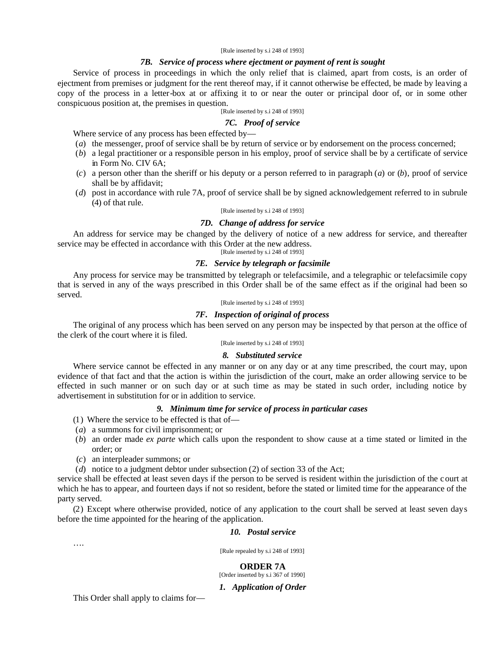#### [Rule inserted by s.i 248 of 1993]

### *7B. Service of process where ejectment or payment of rent is sought*

Service of process in proceedings in which the only relief that is claimed, apart from costs, is an order of ejectment from premises or judgment for the rent thereof may, if it cannot otherwise be effected, be made by leaving a copy of the process in a letter-box at or affixing it to or near the outer or principal door of, or in some other conspicuous position at, the premises in question.

[Rule inserted by s.i 248 of 1993]

#### *7C. Proof of service*

Where service of any process has been effected by—

- (*a*) the messenger, proof of service shall be by return of service or by endorsement on the process concerned;
- (*b*) a legal practitioner or a responsible person in his employ, proof of service shall be by a certificate of service in Form No. CIV 6A;
- (*c*) a person other than the sheriff or his deputy or a person referred to in paragraph (*a*) or (*b*), proof of service shall be by affidavit;
- (*d*) post in accordance with rule 7A, proof of service shall be by signed acknowledgement referred to in subrule (4) of that rule.

#### [Rule inserted by s.i 248 of 1993]

#### *7D. Change of address for service*

An address for service may be changed by the delivery of notice of a new address for service, and thereafter service may be effected in accordance with this Order at the new address.

[Rule inserted by s.i 248 of 1993]

# *7E. Service by telegraph or facsimile*

Any process for service may be transmitted by telegraph or telefacsimile, and a telegraphic or telefacsimile copy that is served in any of the ways prescribed in this Order shall be of the same effect as if the original had been so served.

[Rule inserted by s.i 248 of 1993]

#### *7F. Inspection of original of process*

The original of any process which has been served on any person may be inspected by that person at the office of the clerk of the court where it is filed.

[Rule inserted by s.i 248 of 1993]

#### *8. Substituted service*

Where service cannot be effected in any manner or on any day or at any time prescribed, the court may, upon evidence of that fact and that the action is within the jurisdiction of the court, make an order allowing service to be effected in such manner or on such day or at such time as may be stated in such order, including notice by advertisement in substitution for or in addition to service.

### *9. Minimum time for service of process in particular cases*

- (1) Where the service to be effected is that of—
- (*a*) a summons for civil imprisonment; or
- (*b*) an order made *ex parte* which calls upon the respondent to show cause at a time stated or limited in the order; or
- (*c*) an interpleader summons; or
- (*d*) notice to a judgment debtor under subsection (2) of section 33 of the Act;

service shall be effected at least seven days if the person to be served is resident within the jurisdiction of the court at which he has to appear, and fourteen days if not so resident, before the stated or limited time for the appearance of the party served.

(2) Except where otherwise provided, notice of any application to the court shall be served at least seven days before the time appointed for the hearing of the application.

#### *10. Postal service*

….

[Rule repealed by s.i 248 of 1993]

#### **ORDER 7A**

[Order inserted by s.i 367 of 1990]

#### *1. Application of Order*

This Order shall apply to claims for—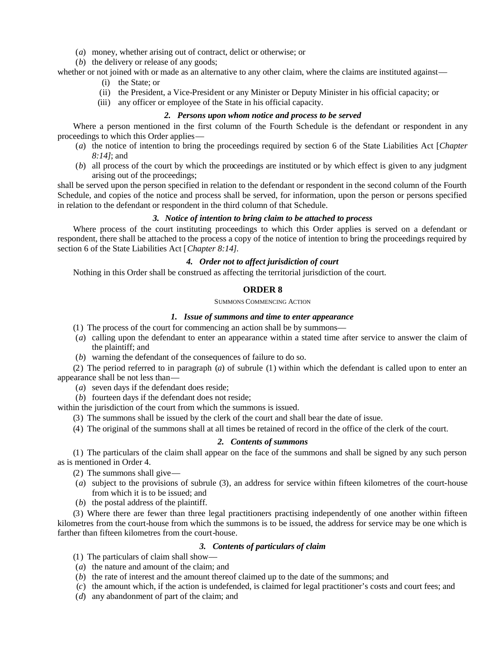- (*a*) money, whether arising out of contract, delict or otherwise; or
- (*b*) the delivery or release of any goods;

whether or not joined with or made as an alternative to any other claim, where the claims are instituted against—

- (i) the State; or
- (ii) the President, a Vice-President or any Minister or Deputy Minister in his official capacity; or
- (iii) any officer or employee of the State in his official capacity.

### *2. Persons upon whom notice and process to be served*

Where a person mentioned in the first column of the Fourth Schedule is the defendant or respondent in any proceedings to which this Order applies—

- (*a*) the notice of intention to bring the proceedings required by section 6 of the State Liabilities Act [*Chapter 8:14]*; and
- (*b*) all process of the court by which the proceedings are instituted or by which effect is given to any judgment arising out of the proceedings;

shall be served upon the person specified in relation to the defendant or respondent in the second column of the Fourth Schedule, and copies of the notice and process shall be served, for information, upon the person or persons specified in relation to the defendant or respondent in the third column of that Schedule.

#### *3. Notice of intention to bring claim to be attached to process*

Where process of the court instituting proceedings to which this Order applies is served on a defendant or respondent, there shall be attached to the process a copy of the notice of intention to bring the proceedings required by section 6 of the State Liabilities Act [*Chapter 8:14]*.

### *4. Order not to affect jurisdiction of court*

Nothing in this Order shall be construed as affecting the territorial jurisdiction of the court.

# **ORDER 8**

#### SUMMONS COMMENCING ACTION

# *1. Issue of summons and time to enter appearance*

- (1) The process of the court for commencing an action shall be by summons—
- (*a*) calling upon the defendant to enter an appearance within a stated time after service to answer the claim of the plaintiff; and
- (*b*) warning the defendant of the consequences of failure to do so.

(2) The period referred to in paragraph (*a*) of subrule (1) within which the defendant is called upon to enter an appearance shall be not less than—

- (*a*) seven days if the defendant does reside;
- (*b*) fourteen days if the defendant does not reside;

within the jurisdiction of the court from which the summons is issued.

- (3) The summons shall be issued by the clerk of the court and shall bear the date of issue.
- (4) The original of the summons shall at all times be retained of record in the office of the clerk of the court.

#### *2. Contents of summons*

(1) The particulars of the claim shall appear on the face of the summons and shall be signed by any such person as is mentioned in Order 4.

- (2) The summons shall give—
- (*a*) subject to the provisions of subrule (3), an address for service within fifteen kilometres of the court-house from which it is to be issued; and
- (*b*) the postal address of the plaintiff.

(3) Where there are fewer than three legal practitioners practising independently of one another within fifteen kilometres from the court-house from which the summons is to be issued, the address for service may be one which is farther than fifteen kilometres from the court-house.

### *3. Contents of particulars of claim*

- (1) The particulars of claim shall show—
- (*a*) the nature and amount of the claim; and
- (*b*) the rate of interest and the amount thereof claimed up to the date of the summons; and
- (*c*) the amount which, if the action is undefended, is claimed for legal practitioner's costs and court fees; and
- (*d*) any abandonment of part of the claim; and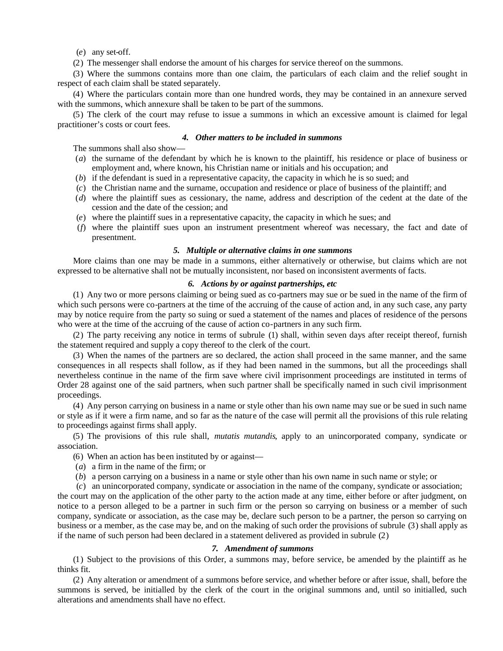(*e*) any set-off.

(2) The messenger shall endorse the amount of his charges for service thereof on the summons.

(3) Where the summons contains more than one claim, the particulars of each claim and the relief sought in respect of each claim shall be stated separately.

(4) Where the particulars contain more than one hundred words, they may be contained in an annexure served with the summons, which annexure shall be taken to be part of the summons.

(5) The clerk of the court may refuse to issue a summons in which an excessive amount is claimed for legal practitioner's costs or court fees.

### *4. Other matters to be included in summons*

The summons shall also show—

- (*a*) the surname of the defendant by which he is known to the plaintiff, his residence or place of business or employment and, where known, his Christian name or initials and his occupation; and
- (*b*) if the defendant is sued in a representative capacity, the capacity in which he is so sued; and
- (*c*) the Christian name and the surname, occupation and residence or place of business of the plaintiff; and
- (*d*) where the plaintiff sues as cessionary, the name, address and description of the cedent at the date of the cession and the date of the cession; and
- (*e*) where the plaintiff sues in a representative capacity, the capacity in which he sues; and
- (*f*) where the plaintiff sues upon an instrument presentment whereof was necessary, the fact and date of presentment.

#### *5. Multiple or alternative claims in one summons*

More claims than one may be made in a summons, either alternatively or otherwise, but claims which are not expressed to be alternative shall not be mutually inconsistent, nor based on inconsistent averments of facts.

### *6. Actions by or against partnerships, etc*

(1) Any two or more persons claiming or being sued as co-partners may sue or be sued in the name of the firm of which such persons were co-partners at the time of the accruing of the cause of action and, in any such case, any party may by notice require from the party so suing or sued a statement of the names and places of residence of the persons who were at the time of the accruing of the cause of action co-partners in any such firm.

(2) The party receiving any notice in terms of subrule (1) shall, within seven days after receipt thereof, furnish the statement required and supply a copy thereof to the clerk of the court.

(3) When the names of the partners are so declared, the action shall proceed in the same manner, and the same consequences in all respects shall follow, as if they had been named in the summons, but all the proceedings shall nevertheless continue in the name of the firm save where civil imprisonment proceedings are instituted in terms of Order 28 against one of the said partners, when such partner shall be specifically named in such civil imprisonment proceedings.

(4) Any person carrying on business in a name or style other than his own name may sue or be sued in such name or style as if it were a firm name, and so far as the nature of the case will permit all the provisions of this rule relating to proceedings against firms shall apply.

(5) The provisions of this rule shall, *mutatis mutandis*, apply to an unincorporated company, syndicate or association.

(6) When an action has been instituted by or against—

- (*a*) a firm in the name of the firm; or
- (*b*) a person carrying on a business in a name or style other than his own name in such name or style; or

(*c*) an unincorporated company, syndicate or association in the name of the company, syndicate or association;

the court may on the application of the other party to the action made at any time, either before or after judgment, on notice to a person alleged to be a partner in such firm or the person so carrying on business or a member of such company, syndicate or association, as the case may be, declare such person to be a partner, the person so carrying on business or a member, as the case may be, and on the making of such order the provisions of subrule (3) shall apply as if the name of such person had been declared in a statement delivered as provided in subrule (2)

#### *7. Amendment of summons*

(1) Subject to the provisions of this Order, a summons may, before service, be amended by the plaintiff as he thinks fit.

(2) Any alteration or amendment of a summons before service, and whether before or after issue, shall, before the summons is served, be initialled by the clerk of the court in the original summons and, until so initialled, such alterations and amendments shall have no effect.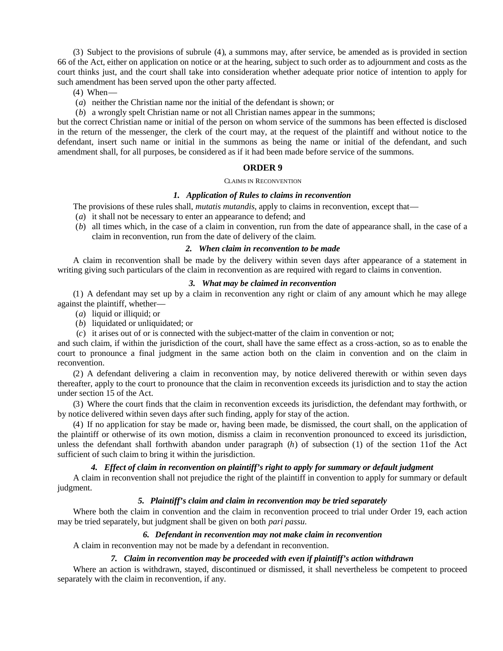(3) Subject to the provisions of subrule (4), a summons may, after service, be amended as is provided in section 66 of the Act, either on application on notice or at the hearing, subject to such order as to adjournment and costs as the court thinks just, and the court shall take into consideration whether adequate prior notice of intention to apply for such amendment has been served upon the other party affected.

- (4) When—
- (*a*) neither the Christian name nor the initial of the defendant is shown; or
- (*b*) a wrongly spelt Christian name or not all Christian names appear in the summons;

but the correct Christian name or initial of the person on whom service of the summons has been effected is disclosed in the return of the messenger, the clerk of the court may, at the request of the plaintiff and without notice to the defendant, insert such name or initial in the summons as being the name or initial of the defendant, and such amendment shall, for all purposes, be considered as if it had been made before service of the summons.

### **ORDER 9**

#### CLAIMS IN RECONVENTION

#### *1. Application of Rules to claims in reconvention*

The provisions of these rules shall, *mutatis mutandis*, apply to claims in reconvention, except that—

- (*a*) it shall not be necessary to enter an appearance to defend; and
- (*b*) all times which, in the case of a claim in convention, run from the date of appearance shall, in the case of a claim in reconvention, run from the date of delivery of the claim.

### *2. When claim in reconvention to be made*

A claim in reconvention shall be made by the delivery within seven days after appearance of a statement in writing giving such particulars of the claim in reconvention as are required with regard to claims in convention.

#### *3. What may be claimed in reconvention*

(1) A defendant may set up by a claim in reconvention any right or claim of any amount which he may allege against the plaintiff, whether—

- (*a*) liquid or illiquid; or
- (*b*) liquidated or unliquidated; or
- (*c*) it arises out of or is connected with the subject-matter of the claim in convention or not;

and such claim, if within the jurisdiction of the court, shall have the same effect as a cross-action, so as to enable the court to pronounce a final judgment in the same action both on the claim in convention and on the claim in reconvention.

(2) A defendant delivering a claim in reconvention may, by notice delivered therewith or within seven days thereafter, apply to the court to pronounce that the claim in reconvention exceeds its jurisdiction and to stay the action under section 15 of the Act.

(3) Where the court finds that the claim in reconvention exceeds its jurisdiction, the defendant may forthwith, or by notice delivered within seven days after such finding, apply for stay of the action.

(4) If no application for stay be made or, having been made, be dismissed, the court shall, on the application of the plaintiff or otherwise of its own motion, dismiss a claim in reconvention pronounced to exceed its jurisdiction, unless the defendant shall forthwith abandon under paragraph (*h*) of subsection (1) of the section 11of the Act sufficient of such claim to bring it within the jurisdiction.

### *4. Effect of claim in reconvention on plaintiff's right to apply for summary or default judgment*

A claim in reconvention shall not prejudice the right of the plaintiff in convention to apply for summary or default judgment.

# *5. Plaintiff's claim and claim in reconvention may be tried separately*

Where both the claim in convention and the claim in reconvention proceed to trial under Order 19, each action may be tried separately, but judgment shall be given on both *pari passu*.

### *6. Defendant in reconvention may not make claim in reconvention*

A claim in reconvention may not be made by a defendant in reconvention.

#### *7. Claim in reconvention may be proceeded with even if plaintiff's action withdrawn*

Where an action is withdrawn, stayed, discontinued or dismissed, it shall nevertheless be competent to proceed separately with the claim in reconvention, if any.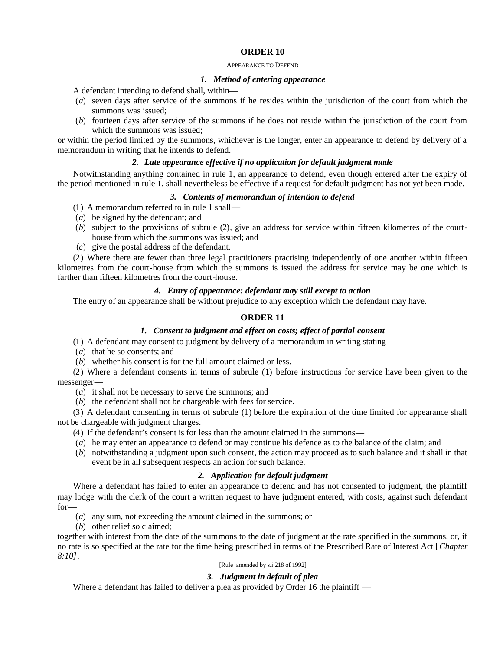#### APPEARANCE TO DEFEND

### *1. Method of entering appearance*

A defendant intending to defend shall, within—

- (*a*) seven days after service of the summons if he resides within the jurisdiction of the court from which the summons was issued;
- (*b*) fourteen days after service of the summons if he does not reside within the jurisdiction of the court from which the summons was issued;

or within the period limited by the summons, whichever is the longer, enter an appearance to defend by delivery of a memorandum in writing that he intends to defend.

# *2. Late appearance effective if no application for default judgment made*

Notwithstanding anything contained in rule 1, an appearance to defend, even though entered after the expiry of the period mentioned in rule 1, shall nevertheless be effective if a request for default judgment has not yet been made.

### *3. Contents of memorandum of intention to defend*

- (1) A memorandum referred to in rule 1 shall—
- (*a*) be signed by the defendant; and
- (*b*) subject to the provisions of subrule (2), give an address for service within fifteen kilometres of the courthouse from which the summons was issued; and
- (*c*) give the postal address of the defendant.

(2) Where there are fewer than three legal practitioners practising independently of one another within fifteen kilometres from the court-house from which the summons is issued the address for service may be one which is farther than fifteen kilometres from the court-house.

# *4. Entry of appearance: defendant may still except to action*

The entry of an appearance shall be without prejudice to any exception which the defendant may have.

# **ORDER 11**

# *1. Consent to judgment and effect on costs; effect of partial consent*

(1) A defendant may consent to judgment by delivery of a memorandum in writing stating—

- (*a*) that he so consents; and
- (*b*) whether his consent is for the full amount claimed or less.

(2) Where a defendant consents in terms of subrule (1) before instructions for service have been given to the messenger—

- (*a*) it shall not be necessary to serve the summons; and
- (*b*) the defendant shall not be chargeable with fees for service.

(3) A defendant consenting in terms of subrule (1) before the expiration of the time limited for appearance shall not be chargeable with judgment charges.

(4) If the defendant's consent is for less than the amount claimed in the summons—

- (*a*) he may enter an appearance to defend or may continue his defence as to the balance of the claim; and
- (*b*) notwithstanding a judgment upon such consent, the action may proceed as to such balance and it shall in that event be in all subsequent respects an action for such balance.

# *2. Application for default judgment*

Where a defendant has failed to enter an appearance to defend and has not consented to judgment, the plaintiff may lodge with the clerk of the court a written request to have judgment entered, with costs, against such defendant for—

- (*a*) any sum, not exceeding the amount claimed in the summons; or
- (*b*) other relief so claimed;

together with interest from the date of the summons to the date of judgment at the rate specified in the summons, or, if no rate is so specified at the rate for the time being prescribed in terms of the Prescribed Rate of Interest Act [*Chapter 8:10]*.

### [Rule amended by s.i 218 of 1992]

# *3. Judgment in default of plea*

Where a defendant has failed to deliver a plea as provided by Order 16 the plaintiff —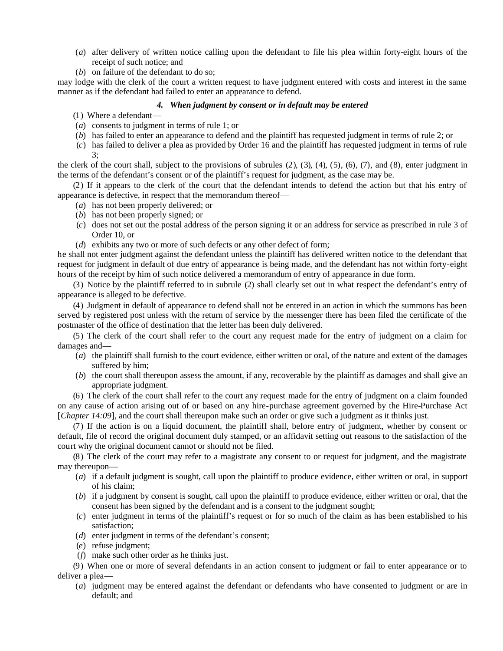- (*a*) after delivery of written notice calling upon the defendant to file his plea within forty-eight hours of the receipt of such notice; and
- (*b*) on failure of the defendant to do so;

may lodge with the clerk of the court a written request to have judgment entered with costs and interest in the same manner as if the defendant had failed to enter an appearance to defend.

# *4. When judgment by consent or in default may be entered*

- (1) Where a defendant—
- (*a*) consents to judgment in terms of rule 1; or
- (*b*) has failed to enter an appearance to defend and the plaintiff has requested judgment in terms of rule 2; or
- (*c*) has failed to deliver a plea as provided by Order 16 and the plaintiff has requested judgment in terms of rule  $\mathcal{F}$

the clerk of the court shall, subject to the provisions of subrules  $(2)$ ,  $(3)$ ,  $(4)$ ,  $(5)$ ,  $(6)$ ,  $(7)$ , and  $(8)$ , enter judgment in the terms of the defendant's consent or of the plaintiff's request for judgment, as the case may be.

(2) If it appears to the clerk of the court that the defendant intends to defend the action but that his entry of appearance is defective, in respect that the memorandum thereof—

- (*a*) has not been properly delivered; or
- (*b*) has not been properly signed; or
- (*c*) does not set out the postal address of the person signing it or an address for service as prescribed in rule 3 of Order 10, or
- (*d*) exhibits any two or more of such defects or any other defect of form;

he shall not enter judgment against the defendant unless the plaintiff has delivered written notice to the defendant that request for judgment in default of due entry of appearance is being made, and the defendant has not within forty-eight hours of the receipt by him of such notice delivered a memorandum of entry of appearance in due form.

(3) Notice by the plaintiff referred to in subrule (2) shall clearly set out in what respect the defendant's entry of appearance is alleged to be defective.

(4) Judgment in default of appearance to defend shall not be entered in an action in which the summons has been served by registered post unless with the return of service by the messenger there has been filed the certificate of the postmaster of the office of destination that the letter has been duly delivered.

(5) The clerk of the court shall refer to the court any request made for the entry of judgment on a claim for damages and—

- (*a*) the plaintiff shall furnish to the court evidence, either written or oral, of the nature and extent of the damages suffered by him;
- (*b*) the court shall thereupon assess the amount, if any, recoverable by the plaintiff as damages and shall give an appropriate judgment.

(6) The clerk of the court shall refer to the court any request made for the entry of judgment on a claim founded on any cause of action arising out of or based on any hire-purchase agreement governed by the Hire-Purchase Act [*Chapter 14:09*], and the court shall thereupon make such an order or give such a judgment as it thinks just.

(7) If the action is on a liquid document, the plaintiff shall, before entry of judgment, whether by consent or default, file of record the original document duly stamped, or an affidavit setting out reasons to the satisfaction of the court why the original document cannot or should not be filed.

(8) The clerk of the court may refer to a magistrate any consent to or request for judgment, and the magistrate may thereupon—

- (*a*) if a default judgment is sought, call upon the plaintiff to produce evidence, either written or oral, in support of his claim;
- (*b*) if a judgment by consent is sought, call upon the plaintiff to produce evidence, either written or oral, that the consent has been signed by the defendant and is a consent to the judgment sought;
- (*c*) enter judgment in terms of the plaintiff's request or for so much of the claim as has been established to his satisfaction;
- (*d*) enter judgment in terms of the defendant's consent;
- (*e*) refuse judgment;
- (*f*) make such other order as he thinks just.

(9) When one or more of several defendants in an action consent to judgment or fail to enter appearance or to deliver a plea—

(*a*) judgment may be entered against the defendant or defendants who have consented to judgment or are in default; and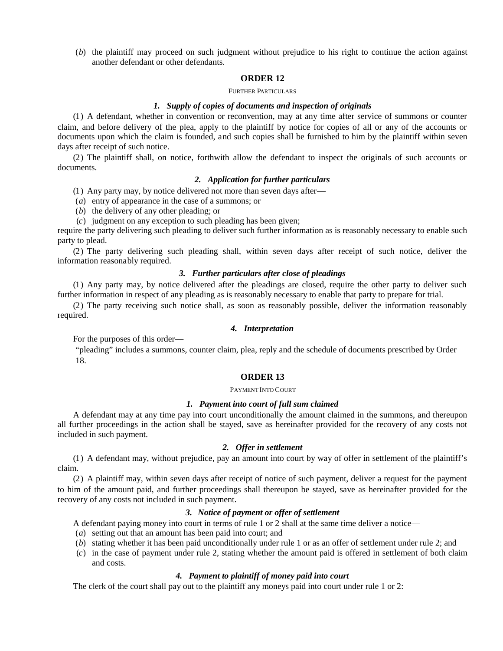(*b*) the plaintiff may proceed on such judgment without prejudice to his right to continue the action against another defendant or other defendants.

### **ORDER 12**

#### FURTHER PARTICULARS

# *1. Supply of copies of documents and inspection of originals*

(1) A defendant, whether in convention or reconvention, may at any time after service of summons or counter claim, and before delivery of the plea, apply to the plaintiff by notice for copies of all or any of the accounts or documents upon which the claim is founded, and such copies shall be furnished to him by the plaintiff within seven days after receipt of such notice.

(2) The plaintiff shall, on notice, forthwith allow the defendant to inspect the originals of such accounts or documents.

#### *2. Application for further particulars*

(1) Any party may, by notice delivered not more than seven days after—

- (*a*) entry of appearance in the case of a summons; or
- (*b*) the delivery of any other pleading; or
- (*c*) judgment on any exception to such pleading has been given;

require the party delivering such pleading to deliver such further information as is reasonably necessary to enable such party to plead.

(2) The party delivering such pleading shall, within seven days after receipt of such notice, deliver the information reasonably required.

### *3. Further particulars after close of pleadings*

(1) Any party may, by notice delivered after the pleadings are closed, require the other party to deliver such further information in respect of any pleading as is reasonably necessary to enable that party to prepare for trial.

(2) The party receiving such notice shall, as soon as reasonably possible, deliver the information reasonably required.

# *4. Interpretation*

For the purposes of this order—

"pleading" includes a summons, counter claim, plea, reply and the schedule of documents prescribed by Order 18.

### **ORDER 13**

### PAYMENT INTO COURT

# *1. Payment into court of full sum claimed*

A defendant may at any time pay into court unconditionally the amount claimed in the summons, and thereupon all further proceedings in the action shall be stayed, save as hereinafter provided for the recovery of any costs not included in such payment.

### *2. Offer in settlement*

(1) A defendant may, without prejudice, pay an amount into court by way of offer in settlement of the plaintiff's claim.

(2) A plaintiff may, within seven days after receipt of notice of such payment, deliver a request for the payment to him of the amount paid, and further proceedings shall thereupon be stayed, save as hereinafter provided for the recovery of any costs not included in such payment.

### *3. Notice of payment or offer of settlement*

A defendant paying money into court in terms of rule 1 or 2 shall at the same time deliver a notice—

- (*a*) setting out that an amount has been paid into court; and
- (*b*) stating whether it has been paid unconditionally under rule 1 or as an offer of settlement under rule 2; and
- (*c*) in the case of payment under rule 2, stating whether the amount paid is offered in settlement of both claim and costs.

# *4. Payment to plaintiff of money paid into court*

The clerk of the court shall pay out to the plaintiff any moneys paid into court under rule 1 or 2: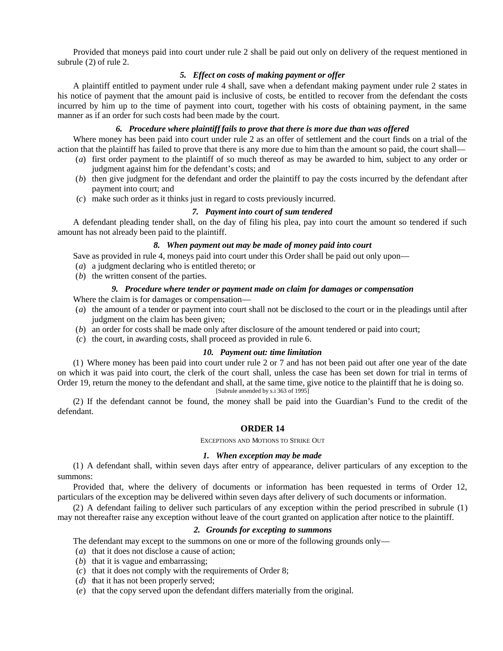Provided that moneys paid into court under rule 2 shall be paid out only on delivery of the request mentioned in subrule (2) of rule 2.

### *5. Effect on costs of making payment or offer*

A plaintiff entitled to payment under rule 4 shall, save when a defendant making payment under rule 2 states in his notice of payment that the amount paid is inclusive of costs, be entitled to recover from the defendant the costs incurred by him up to the time of payment into court, together with his costs of obtaining payment, in the same manner as if an order for such costs had been made by the court.

### *6. Procedure where plaintiff fails to prove that there is more due than was offered*

Where money has been paid into court under rule 2 as an offer of settlement and the court finds on a trial of the action that the plaintiff has failed to prove that there is any more due to him than the amount so paid, the court shall—

- (*a*) first order payment to the plaintiff of so much thereof as may be awarded to him, subject to any order or judgment against him for the defendant's costs; and
- (*b*) then give judgment for the defendant and order the plaintiff to pay the costs incurred by the defendant after payment into court; and
- (*c*) make such order as it thinks just in regard to costs previously incurred.

### *7. Payment into court of sum tendered*

A defendant pleading tender shall, on the day of filing his plea, pay into court the amount so tendered if such amount has not already been paid to the plaintiff.

### *8. When payment out may be made of money paid into court*

Save as provided in rule 4, moneys paid into court under this Order shall be paid out only upon—

(*a*) a judgment declaring who is entitled thereto; or

(*b*) the written consent of the parties.

### *9. Procedure where tender or payment made on claim for damages or compensation*

Where the claim is for damages or compensation—

- (*a*) the amount of a tender or payment into court shall not be disclosed to the court or in the pleadings until after judgment on the claim has been given;
- (*b*) an order for costs shall be made only after disclosure of the amount tendered or paid into court;
- (*c*) the court, in awarding costs, shall proceed as provided in rule 6.

#### *10. Payment out: time limitation*

(1) Where money has been paid into court under rule 2 or 7 and has not been paid out after one year of the date on which it was paid into court, the clerk of the court shall, unless the case has been set down for trial in terms of Order 19, return the money to the defendant and shall, at the same time, give notice to the plaintiff that he is doing so. [Subrule amended by s.i 363 of 1995]

(2) If the defendant cannot be found, the money shall be paid into the Guardian's Fund to the credit of the defendant.

### **ORDER 14**

EXCEPTIONS AND MOTIONS TO STRIKE OUT

### *1. When exception may be made*

(1) A defendant shall, within seven days after entry of appearance, deliver particulars of any exception to the summons:

Provided that, where the delivery of documents or information has been requested in terms of Order 12, particulars of the exception may be delivered within seven days after delivery of such documents or information.

(2) A defendant failing to deliver such particulars of any exception within the period prescribed in subrule (1) may not thereafter raise any exception without leave of the court granted on application after notice to the plaintiff.

## *2. Grounds for excepting to summons*

The defendant may except to the summons on one or more of the following grounds only—

- (*a*) that it does not disclose a cause of action;
- (*b*) that it is vague and embarrassing;
- (*c*) that it does not comply with the requirements of Order 8;
- (*d*) that it has not been properly served;
- (*e*) that the copy served upon the defendant differs materially from the original.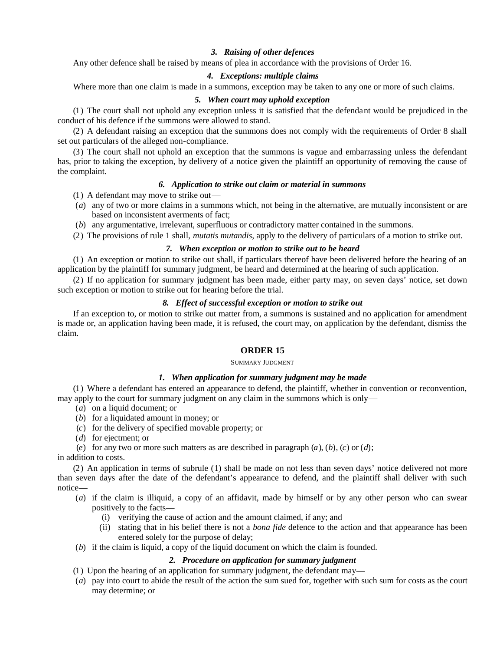# *3. Raising of other defences*

Any other defence shall be raised by means of plea in accordance with the provisions of Order 16.

### *4. Exceptions: multiple claims*

Where more than one claim is made in a summons, exception may be taken to any one or more of such claims.

### *5. When court may uphold exception*

(1) The court shall not uphold any exception unless it is satisfied that the defendant would be prejudiced in the conduct of his defence if the summons were allowed to stand.

(2) A defendant raising an exception that the summons does not comply with the requirements of Order 8 shall set out particulars of the alleged non-compliance.

(3) The court shall not uphold an exception that the summons is vague and embarrassing unless the defendant has, prior to taking the exception, by delivery of a notice given the plaintiff an opportunity of removing the cause of the complaint.

### *6. Application to strike out claim or material in summons*

(1) A defendant may move to strike out—

- (*a*) any of two or more claims in a summons which, not being in the alternative, are mutually inconsistent or are based on inconsistent averments of fact;
- (*b*) any argumentative, irrelevant, superfluous or contradictory matter contained in the summons.
- (2) The provisions of rule 1 shall, *mutatis mutandis*, apply to the delivery of particulars of a motion to strike out.

# *7. When exception or motion to strike out to be heard*

(1) An exception or motion to strike out shall, if particulars thereof have been delivered before the hearing of an application by the plaintiff for summary judgment, be heard and determined at the hearing of such application.

(2) If no application for summary judgment has been made, either party may, on seven days' notice, set down such exception or motion to strike out for hearing before the trial.

# *8. Effect of successful exception or motion to strike out*

If an exception to, or motion to strike out matter from, a summons is sustained and no application for amendment is made or, an application having been made, it is refused, the court may, on application by the defendant, dismiss the claim.

# **ORDER 15**

#### SUMMARY JUDGMENT

#### *1. When application for summary judgment may be made*

(1) Where a defendant has entered an appearance to defend, the plaintiff, whether in convention or reconvention, may apply to the court for summary judgment on any claim in the summons which is only—

- (*a*) on a liquid document; or
- (*b*) for a liquidated amount in money; or
- (*c*) for the delivery of specified movable property; or
- (*d*) for ejectment; or

(*e*) for any two or more such matters as are described in paragraph  $(a)$ ,  $(b)$ ,  $(c)$  or  $(d)$ ;

in addition to costs.

(2) An application in terms of subrule (1) shall be made on not less than seven days' notice delivered not more than seven days after the date of the defendant's appearance to defend, and the plaintiff shall deliver with such notice—

- (*a*) if the claim is illiquid, a copy of an affidavit, made by himself or by any other person who can swear positively to the facts—
	- (i) verifying the cause of action and the amount claimed, if any; and
	- (ii) stating that in his belief there is not a *bona fide* defence to the action and that appearance has been entered solely for the purpose of delay;
- (*b*) if the claim is liquid, a copy of the liquid document on which the claim is founded.

# *2. Procedure on application for summary judgment*

- (1) Upon the hearing of an application for summary judgment, the defendant may—
- (*a*) pay into court to abide the result of the action the sum sued for, together with such sum for costs as the court may determine; or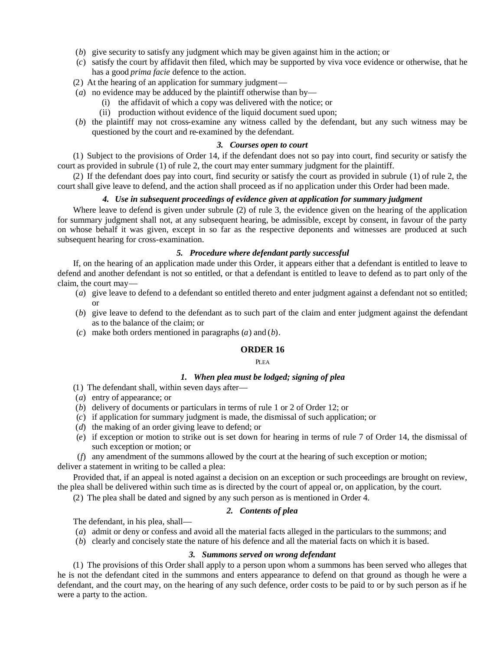- (*b*) give security to satisfy any judgment which may be given against him in the action; or
- (*c*) satisfy the court by affidavit then filed, which may be supported by viva voce evidence or otherwise, that he has a good *prima facie* defence to the action.
- (2) At the hearing of an application for summary judgment—
- (*a*) no evidence may be adduced by the plaintiff otherwise than by—
	- (i) the affidavit of which a copy was delivered with the notice; or
	- (ii) production without evidence of the liquid document sued upon;
- (*b*) the plaintiff may not cross-examine any witness called by the defendant, but any such witness may be questioned by the court and re-examined by the defendant.

#### *3. Courses open to court*

(1) Subject to the provisions of Order 14, if the defendant does not so pay into court, find security or satisfy the court as provided in subrule (1) of rule 2, the court may enter summary judgment for the plaintiff.

(2) If the defendant does pay into court, find security or satisfy the court as provided in subrule (1) of rule 2, the court shall give leave to defend, and the action shall proceed as if no application under this Order had been made.

### *4. Use in subsequent proceedings of evidence given at application for summary judgment*

Where leave to defend is given under subrule (2) of rule 3, the evidence given on the hearing of the application for summary judgment shall not, at any subsequent hearing, be admissible, except by consent, in favour of the party on whose behalf it was given, except in so far as the respective deponents and witnesses are produced at such subsequent hearing for cross-examination.

# *5. Procedure where defendant partly successful*

If, on the hearing of an application made under this Order, it appears either that a defendant is entitled to leave to defend and another defendant is not so entitled, or that a defendant is entitled to leave to defend as to part only of the claim, the court may—

- (*a*) give leave to defend to a defendant so entitled thereto and enter judgment against a defendant not so entitled; or
- (*b*) give leave to defend to the defendant as to such part of the claim and enter judgment against the defendant as to the balance of the claim; or
- (*c*) make both orders mentioned in paragraphs (*a*) and (*b*).

### **ORDER 16**

### **PLEA**

## *1. When plea must be lodged; signing of plea*

- (1) The defendant shall, within seven days after—
- (*a*) entry of appearance; or
- (*b*) delivery of documents or particulars in terms of rule 1 or 2 of Order 12; or
- (*c*) if application for summary judgment is made, the dismissal of such application; or
- (*d*) the making of an order giving leave to defend; or
- (*e*) if exception or motion to strike out is set down for hearing in terms of rule 7 of Order 14, the dismissal of such exception or motion; or
- (*f*) any amendment of the summons allowed by the court at the hearing of such exception or motion;

deliver a statement in writing to be called a plea:

Provided that, if an appeal is noted against a decision on an exception or such proceedings are brought on review, the plea shall be delivered within such time as is directed by the court of appeal or, on application, by the court.

(2) The plea shall be dated and signed by any such person as is mentioned in Order 4.

### *2. Contents of plea*

The defendant, in his plea, shall—

- (*a*) admit or deny or confess and avoid all the material facts alleged in the particulars to the summons; and
- (*b*) clearly and concisely state the nature of his defence and all the material facts on which it is based.

#### *3. Summons served on wrong defendant*

(1) The provisions of this Order shall apply to a person upon whom a summons has been served who alleges that he is not the defendant cited in the summons and enters appearance to defend on that ground as though he were a defendant, and the court may, on the hearing of any such defence, order costs to be paid to or by such person as if he were a party to the action.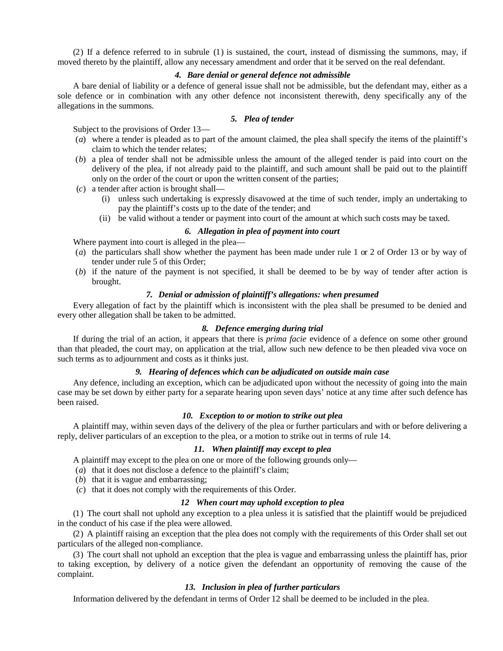(2) If a defence referred to in subrule (1) is sustained, the court, instead of dismissing the summons, may, if moved thereto by the plaintiff, allow any necessary amendment and order that it be served on the real defendant.

### *4. Bare denial or general defence not admissible*

A bare denial of liability or a defence of general issue shall not be admissible, but the defendant may, either as a sole defence or in combination with any other defence not inconsistent therewith, deny specifically any of the allegations in the summons.

### *5. Plea of tender*

Subject to the provisions of Order 13—

- (*a*) where a tender is pleaded as to part of the amount claimed, the plea shall specify the items of the plaintiff's claim to which the tender relates;
- (*b*) a plea of tender shall not be admissible unless the amount of the alleged tender is paid into court on the delivery of the plea, if not already paid to the plaintiff, and such amount shall be paid out to the plaintiff only on the order of the court or upon the written consent of the parties;
- (*c*) a tender after action is brought shall—
	- (i) unless such undertaking is expressly disavowed at the time of such tender, imply an undertaking to pay the plaintiff's costs up to the date of the tender; and
	- (ii) be valid without a tender or payment into court of the amount at which such costs may be taxed.

# *6. Allegation in plea of payment into court*

Where payment into court is alleged in the plea—

- (*a*) the particulars shall show whether the payment has been made under rule 1 or 2 of Order 13 or by way of tender under rule 5 of this Order;
- (*b*) if the nature of the payment is not specified, it shall be deemed to be by way of tender after action is brought.

### *7. Denial or admission of plaintiff's allegations: when presumed*

Every allegation of fact by the plaintiff which is inconsistent with the plea shall be presumed to be denied and every other allegation shall be taken to be admitted.

# *8. Defence emerging during trial*

If during the trial of an action, it appears that there is *prima facie* evidence of a defence on some other ground than that pleaded, the court may, on application at the trial, allow such new defence to be then pleaded viva voce on such terms as to adjournment and costs as it thinks just.

### *9. Hearing of defences which can be adjudicated on outside main case*

Any defence, including an exception, which can be adjudicated upon without the necessity of going into the main case may be set down by either party for a separate hearing upon seven days' notice at any time after such defence has been raised.

### *10. Exception to or motion to strike out plea*

A plaintiff may, within seven days of the delivery of the plea or further particulars and with or before delivering a reply, deliver particulars of an exception to the plea, or a motion to strike out in terms of rule 14.

# *11. When plaintiff may except to plea*

A plaintiff may except to the plea on one or more of the following grounds only—

- (*a*) that it does not disclose a defence to the plaintiff's claim;
- (*b*) that it is vague and embarrassing;
- (*c*) that it does not comply with the requirements of this Order.

# *12 When court may uphold exception to plea*

(1) The court shall not uphold any exception to a plea unless it is satisfied that the plaintiff would be prejudiced in the conduct of his case if the plea were allowed.

(2) A plaintiff raising an exception that the plea does not comply with the requirements of this Order shall set out particulars of the alleged non-compliance.

(3) The court shall not uphold an exception that the plea is vague and embarrassing unless the plaintiff has, prior to taking exception, by delivery of a notice given the defendant an opportunity of removing the cause of the complaint.

# *13. Inclusion in plea of further particulars*

Information delivered by the defendant in terms of Order 12 shall be deemed to be included in the plea.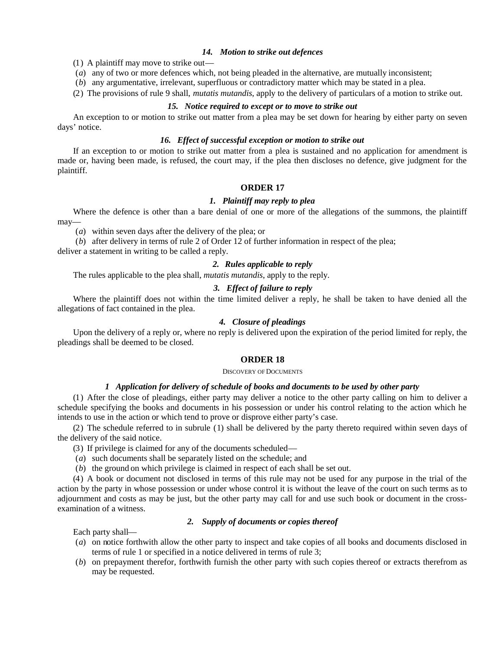### *14. Motion to strike out defences*

(1) A plaintiff may move to strike out—

(*a*) any of two or more defences which, not being pleaded in the alternative, are mutually inconsistent;

(*b*) any argumentative, irrelevant, superfluous or contradictory matter which may be stated in a plea.

(2) The provisions of rule 9 shall, *mutatis mutandis*, apply to the delivery of particulars of a motion to strike out.

#### *15. Notice required to except or to move to strike out*

An exception to or motion to strike out matter from a plea may be set down for hearing by either party on seven days' notice.

# *16. Effect of successful exception or motion to strike out*

If an exception to or motion to strike out matter from a plea is sustained and no application for amendment is made or, having been made, is refused, the court may, if the plea then discloses no defence, give judgment for the plaintiff.

#### **ORDER 17**

#### *1. Plaintiff may reply to plea*

Where the defence is other than a bare denial of one or more of the allegations of the summons, the plaintiff may—

(*a*) within seven days after the delivery of the plea; or

(*b*) after delivery in terms of rule 2 of Order 12 of further information in respect of the plea;

deliver a statement in writing to be called a reply.

# *2. Rules applicable to reply*

The rules applicable to the plea shall, *mutatis mutandis*, apply to the reply.

#### *3. Effect of failure to reply*

Where the plaintiff does not within the time limited deliver a reply, he shall be taken to have denied all the allegations of fact contained in the plea.

# *4. Closure of pleadings*

Upon the delivery of a reply or, where no reply is delivered upon the expiration of the period limited for reply, the pleadings shall be deemed to be closed.

# **ORDER 18**

#### DISCOVERY OF DOCUMENTS

### *1 Application for delivery of schedule of books and documents to be used by other party*

(1) After the close of pleadings, either party may deliver a notice to the other party calling on him to deliver a schedule specifying the books and documents in his possession or under his control relating to the action which he intends to use in the action or which tend to prove or disprove either party's case.

(2) The schedule referred to in subrule (1) shall be delivered by the party thereto required within seven days of the delivery of the said notice.

- (3) If privilege is claimed for any of the documents scheduled—
- (*a*) such documents shall be separately listed on the schedule; and
- (*b*) the ground on which privilege is claimed in respect of each shall be set out.

(4) A book or document not disclosed in terms of this rule may not be used for any purpose in the trial of the action by the party in whose possession or under whose control it is without the leave of the court on such terms as to adjournment and costs as may be just, but the other party may call for and use such book or document in the crossexamination of a witness.

Each party shall—

# *2. Supply of documents or copies thereof*

- (*a*) on notice forthwith allow the other party to inspect and take copies of all books and documents disclosed in terms of rule 1 or specified in a notice delivered in terms of rule 3;
- (*b*) on prepayment therefor, forthwith furnish the other party with such copies thereof or extracts therefrom as may be requested.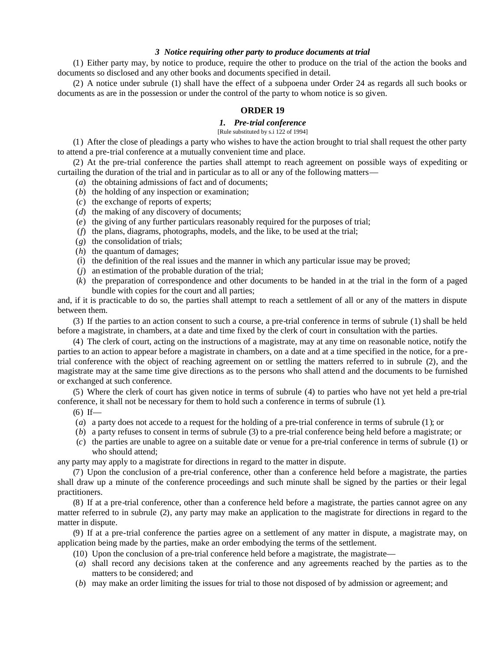# *3 Notice requiring other party to produce documents at trial*

(1) Either party may, by notice to produce, require the other to produce on the trial of the action the books and documents so disclosed and any other books and documents specified in detail.

(2) A notice under subrule (1) shall have the effect of a subpoena under Order 24 as regards all such books or documents as are in the possession or under the control of the party to whom notice is so given.

# **ORDER 19**

# *1. Pre-trial conference*

[Rule substituted by s.i 122 of 1994]

(1) After the close of pleadings a party who wishes to have the action brought to trial shall request the other party to attend a pre-trial conference at a mutually convenient time and place.

(2) At the pre-trial conference the parties shall attempt to reach agreement on possible ways of expediting or curtailing the duration of the trial and in particular as to all or any of the following matters—

- (*a*) the obtaining admissions of fact and of documents;
- (*b*) the holding of any inspection or examination;
- (*c*) the exchange of reports of experts;
- (*d*) the making of any discovery of documents;
- (*e*) the giving of any further particulars reasonably required for the purposes of trial;
- (*f*) the plans, diagrams, photographs, models, and the like, to be used at the trial;
- (*g*) the consolidation of trials;
- (*h*) the quantum of damages;
- (*i*) the definition of the real issues and the manner in which any particular issue may be proved;
- (*j*) an estimation of the probable duration of the trial;
- (*k*) the preparation of correspondence and other documents to be handed in at the trial in the form of a paged bundle with copies for the court and all parties;

and, if it is practicable to do so, the parties shall attempt to reach a settlement of all or any of the matters in dispute between them.

(3) If the parties to an action consent to such a course, a pre-trial conference in terms of subrule (1) shall be held before a magistrate, in chambers, at a date and time fixed by the clerk of court in consultation with the parties.

(4) The clerk of court, acting on the instructions of a magistrate, may at any time on reasonable notice, notify the parties to an action to appear before a magistrate in chambers, on a date and at a time specified in the notice, for a pretrial conference with the object of reaching agreement on or settling the matters referred to in subrule (2), and the magistrate may at the same time give directions as to the persons who shall attend and the documents to be furnished or exchanged at such conference.

(5) Where the clerk of court has given notice in terms of subrule (4) to parties who have not yet held a pre-trial conference, it shall not be necessary for them to hold such a conference in terms of subrule (1).

 $(6)$  If—

- (*a*) a party does not accede to a request for the holding of a pre-trial conference in terms of subrule (1); or
- (*b*) a party refuses to consent in terms of subrule (3) to a pre-trial conference being held before a magistrate; or
- (*c*) the parties are unable to agree on a suitable date or venue for a pre-trial conference in terms of subrule (1) or who should attend;

any party may apply to a magistrate for directions in regard to the matter in dispute.

(7) Upon the conclusion of a pre-trial conference, other than a conference held before a magistrate, the parties shall draw up a minute of the conference proceedings and such minute shall be signed by the parties or their legal practitioners.

(8) If at a pre-trial conference, other than a conference held before a magistrate, the parties cannot agree on any matter referred to in subrule (2), any party may make an application to the magistrate for directions in regard to the matter in dispute.

(9) If at a pre-trial conference the parties agree on a settlement of any matter in dispute, a magistrate may, on application being made by the parties, make an order embodying the terms of the settlement.

- $(10)$  Upon the conclusion of a pre-trial conference held before a magistrate, the magistrate—
- (*a*) shall record any decisions taken at the conference and any agreements reached by the parties as to the matters to be considered; and
- (*b*) may make an order limiting the issues for trial to those not disposed of by admission or agreement; and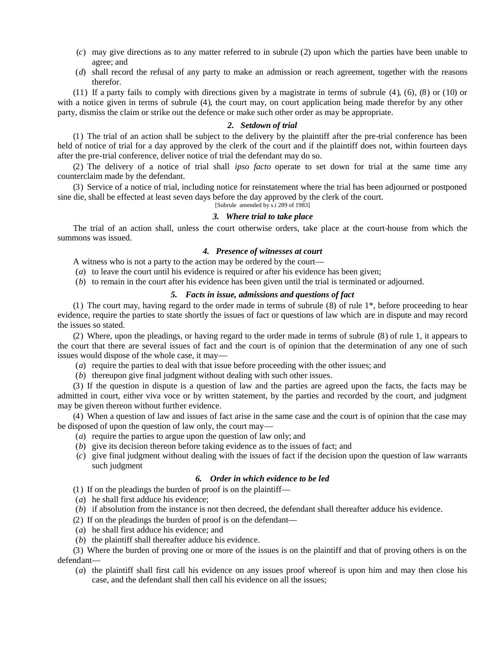- (*c*) may give directions as to any matter referred to in subrule (2) upon which the parties have been unable to agree; and
- (*d*) shall record the refusal of any party to make an admission or reach agreement, together with the reasons therefor.

(11) If a party fails to comply with directions given by a magistrate in terms of subrule (4), (6), (8) or (10) or with a notice given in terms of subrule (4), the court may, on court application being made therefor by any other party, dismiss the claim or strike out the defence or make such other order as may be appropriate.

#### *2. Setdown of trial*

(1) The trial of an action shall be subject to the delivery by the plaintiff after the pre-trial conference has been held of notice of trial for a day approved by the clerk of the court and if the plaintiff does not, within fourteen days after the pre-trial conference, deliver notice of trial the defendant may do so.

(2) The delivery of a notice of trial shall *ipso facto* operate to set down for trial at the same time any counterclaim made by the defendant.

(3) Service of a notice of trial, including notice for reinstatement where the trial has been adjourned or postponed sine die, shall be effected at least seven days before the day approved by the clerk of the court.

[Subrule amended by s.i 289 of 1983]

# *3. Where trial to take place*

The trial of an action shall, unless the court otherwise orders, take place at the court-house from which the summons was issued.

#### *4. Presence of witnesses at court*

A witness who is not a party to the action may be ordered by the court—

- (*a*) to leave the court until his evidence is required or after his evidence has been given;
- (*b*) to remain in the court after his evidence has been given until the trial is terminated or adjourned.

# *5. Facts in issue, admissions and questions of fact*

(1) The court may, having regard to the order made in terms of subrule (8) of rule 1\*, before proceeding to hear evidence, require the parties to state shortly the issues of fact or questions of law which are in dispute and may record the issues so stated.

(2) Where, upon the pleadings, or having regard to the order made in terms of subrule (8) of rule 1, it appears to the court that there are several issues of fact and the court is of opinion that the determination of any one of such issues would dispose of the whole case, it may—

- (*a*) require the parties to deal with that issue before proceeding with the other issues; and
- (*b*) thereupon give final judgment without dealing with such other issues.

(3) If the question in dispute is a question of law and the parties are agreed upon the facts, the facts may be admitted in court, either viva voce or by written statement, by the parties and recorded by the court, and judgment may be given thereon without further evidence.

(4) When a question of law and issues of fact arise in the same case and the court is of opinion that the case may be disposed of upon the question of law only, the court may—

- (*a*) require the parties to argue upon the question of law only; and
- (*b*) give its decision thereon before taking evidence as to the issues of fact; and
- (*c*) give final judgment without dealing with the issues of fact if the decision upon the question of law warrants such judgment

# *6. Order in which evidence to be led*

(1) If on the pleadings the burden of proof is on the plaintiff—

- (*a*) he shall first adduce his evidence;
- (*b*) if absolution from the instance is not then decreed, the defendant shall thereafter adduce his evidence.
- (2) If on the pleadings the burden of proof is on the defendant—
- (*a*) he shall first adduce his evidence; and
- (*b*) the plaintiff shall thereafter adduce his evidence.

(3) Where the burden of proving one or more of the issues is on the plaintiff and that of proving others is on the defendant—

(*a*) the plaintiff shall first call his evidence on any issues proof whereof is upon him and may then close his case, and the defendant shall then call his evidence on all the issues;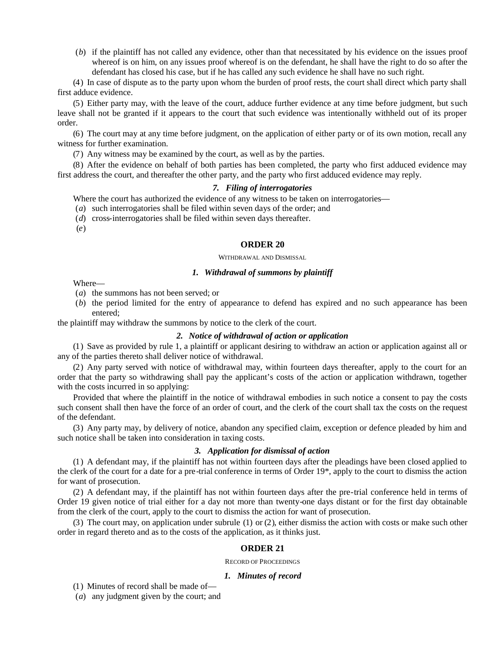(*b*) if the plaintiff has not called any evidence, other than that necessitated by his evidence on the issues proof whereof is on him, on any issues proof whereof is on the defendant, he shall have the right to do so after the defendant has closed his case, but if he has called any such evidence he shall have no such right.

(4) In case of dispute as to the party upon whom the burden of proof rests, the court shall direct which party shall first adduce evidence.

(5) Either party may, with the leave of the court, adduce further evidence at any time before judgment, but such leave shall not be granted if it appears to the court that such evidence was intentionally withheld out of its proper order.

(6) The court may at any time before judgment, on the application of either party or of its own motion, recall any witness for further examination.

(7) Any witness may be examined by the court, as well as by the parties.

(8) After the evidence on behalf of both parties has been completed, the party who first adduced evidence may first address the court, and thereafter the other party, and the party who first adduced evidence may reply.

# *7. Filing of interrogatories*

Where the court has authorized the evidence of any witness to be taken on interrogatories—

(*a*) such interrogatories shall be filed within seven days of the order; and

(*d*) cross-interrogatories shall be filed within seven days thereafter.

(*e*)

### **ORDER 20**

#### WITHDRAWAL AND DISMISSAL

#### *1. Withdrawal of summons by plaintiff*

Where—

- (*a*) the summons has not been served; or
- (*b*) the period limited for the entry of appearance to defend has expired and no such appearance has been entered;

the plaintiff may withdraw the summons by notice to the clerk of the court.

# *2. Notice of withdrawal of action or application*

(1) Save as provided by rule 1, a plaintiff or applicant desiring to withdraw an action or application against all or any of the parties thereto shall deliver notice of withdrawal.

(2) Any party served with notice of withdrawal may, within fourteen days thereafter, apply to the court for an order that the party so withdrawing shall pay the applicant's costs of the action or application withdrawn, together with the costs incurred in so applying:

Provided that where the plaintiff in the notice of withdrawal embodies in such notice a consent to pay the costs such consent shall then have the force of an order of court, and the clerk of the court shall tax the costs on the request of the defendant.

(3) Any party may, by delivery of notice, abandon any specified claim, exception or defence pleaded by him and such notice shall be taken into consideration in taxing costs.

#### *3. Application for dismissal of action*

(1) A defendant may, if the plaintiff has not within fourteen days after the pleadings have been closed applied to the clerk of the court for a date for a pre-trial conference in terms of Order 19\*, apply to the court to dismiss the action for want of prosecution.

(2) A defendant may, if the plaintiff has not within fourteen days after the pre-trial conference held in terms of Order 19 given notice of trial either for a day not more than twenty-one days distant or for the first day obtainable from the clerk of the court, apply to the court to dismiss the action for want of prosecution.

(3) The court may, on application under subrule (1) or (2), either dismiss the action with costs or make such other order in regard thereto and as to the costs of the application, as it thinks just.

# **ORDER 21**

#### RECORD OF PROCEEDINGS

# *1. Minutes of record*

(1) Minutes of record shall be made of—

(*a*) any judgment given by the court; and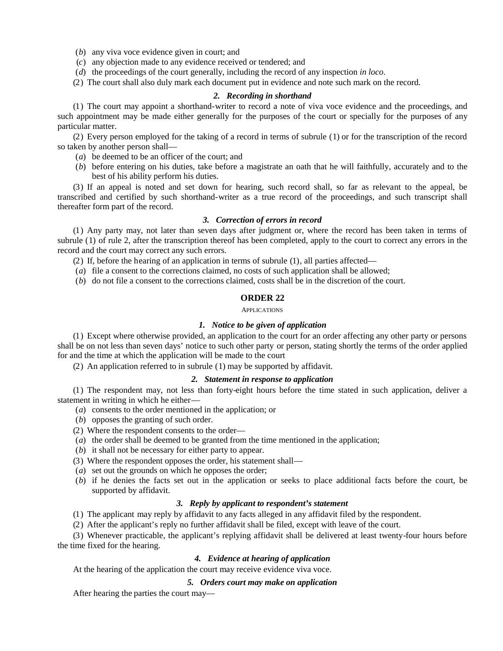(*b*) any viva voce evidence given in court; and

- (*c*) any objection made to any evidence received or tendered; and
- (*d*) the proceedings of the court generally, including the record of any inspection *in loco*.

(2) The court shall also duly mark each document put in evidence and note such mark on the record.

### *2. Recording in shorthand*

(1) The court may appoint a shorthand-writer to record a note of viva voce evidence and the proceedings, and such appointment may be made either generally for the purposes of the court or specially for the purposes of any particular matter.

(2) Every person employed for the taking of a record in terms of subrule (1) or for the transcription of the record so taken by another person shall—

- (*a*) be deemed to be an officer of the court; and
- (*b*) before entering on his duties, take before a magistrate an oath that he will faithfully, accurately and to the best of his ability perform his duties.

(3) If an appeal is noted and set down for hearing, such record shall, so far as relevant to the appeal, be transcribed and certified by such shorthand-writer as a true record of the proceedings, and such transcript shall thereafter form part of the record.

### *3. Correction of errors in record*

(1) Any party may, not later than seven days after judgment or, where the record has been taken in terms of subrule (1) of rule 2, after the transcription thereof has been completed, apply to the court to correct any errors in the record and the court may correct any such errors.

(2) If, before the hearing of an application in terms of subrule (1), all parties affected—

- (*a*) file a consent to the corrections claimed, no costs of such application shall be allowed;
- (*b*) do not file a consent to the corrections claimed, costs shall be in the discretion of the court.

# **ORDER 22**

APPLICATIONS

### *1. Notice to be given of application*

(1) Except where otherwise provided, an application to the court for an order affecting any other party or persons shall be on not less than seven days' notice to such other party or person, stating shortly the terms of the order applied for and the time at which the application will be made to the court

(2) An application referred to in subrule (1) may be supported by affidavit.

# *2. Statement in response to application*

(1) The respondent may, not less than forty-eight hours before the time stated in such application, deliver a statement in writing in which he either—

- (*a*) consents to the order mentioned in the application; or
- (*b*) opposes the granting of such order.
- (2) Where the respondent consents to the order—
- (*a*) the order shall be deemed to be granted from the time mentioned in the application;
- (*b*) it shall not be necessary for either party to appear.
- (3) Where the respondent opposes the order, his statement shall—
- (*a*) set out the grounds on which he opposes the order;
- (*b*) if he denies the facts set out in the application or seeks to place additional facts before the court, be supported by affidavit.

### *3. Reply by applicant to respondent's statement*

(1) The applicant may reply by affidavit to any facts alleged in any affidavit filed by the respondent.

(2) After the applicant's reply no further affidavit shall be filed, except with leave of the court.

(3) Whenever practicable, the applicant's replying affidavit shall be delivered at least twenty-four hours before the time fixed for the hearing.

# *4. Evidence at hearing of application*

At the hearing of the application the court may receive evidence viva voce.

# *5. Orders court may make on application*

After hearing the parties the court may—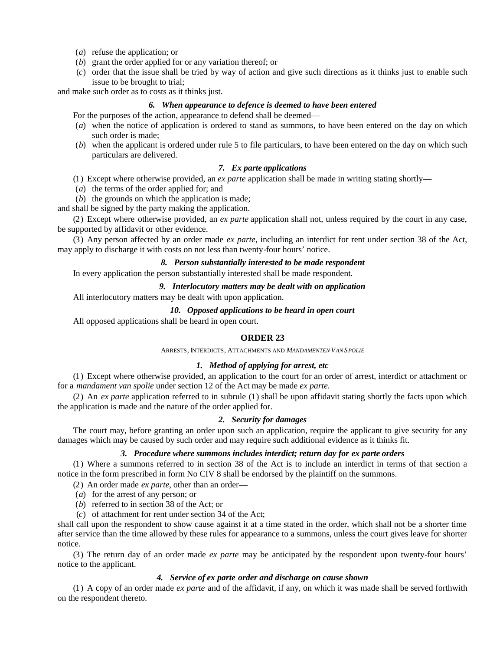- (*a*) refuse the application; or
- (*b*) grant the order applied for or any variation thereof; or
- (*c*) order that the issue shall be tried by way of action and give such directions as it thinks just to enable such issue to be brought to trial;

and make such order as to costs as it thinks just.

### *6. When appearance to defence is deemed to have been entered*

For the purposes of the action, appearance to defend shall be deemed—

- (*a*) when the notice of application is ordered to stand as summons, to have been entered on the day on which such order is made;
- (*b*) when the applicant is ordered under rule 5 to file particulars, to have been entered on the day on which such particulars are delivered.

# *7. Ex parte applications*

- (1) Except where otherwise provided, an *ex parte* application shall be made in writing stating shortly—
- (*a*) the terms of the order applied for; and
- (*b*) the grounds on which the application is made;

and shall be signed by the party making the application.

(2) Except where otherwise provided, an *ex parte* application shall not, unless required by the court in any case, be supported by affidavit or other evidence.

(3) Any person affected by an order made *ex parte*, including an interdict for rent under section 38 of the Act, may apply to discharge it with costs on not less than twenty-four hours' notice.

# *8. Person substantially interested to be made respondent*

In every application the person substantially interested shall be made respondent.

*9. Interlocutory matters may be dealt with on application*

All interlocutory matters may be dealt with upon application.

#### *10. Opposed applications to be heard in open court*

All opposed applications shall be heard in open court.

### **ORDER 23**

ARRESTS, INTERDICTS, ATTACHMENTS AND *MANDAMENTEN VAN SPOLIE*

# *1. Method of applying for arrest, etc*

(1) Except where otherwise provided, an application to the court for an order of arrest, interdict or attachment or for a *mandament van spolie* under section 12 of the Act may be made *ex parte*.

(2) An *ex parte* application referred to in subrule (1) shall be upon affidavit stating shortly the facts upon which the application is made and the nature of the order applied for.

# *2. Security for damages*

The court may, before granting an order upon such an application, require the applicant to give security for any damages which may be caused by such order and may require such additional evidence as it thinks fit.

### *3. Procedure where summons includes interdict; return day for ex parte orders*

(1) Where a summons referred to in section 38 of the Act is to include an interdict in terms of that section a notice in the form prescribed in form No CIV 8 shall be endorsed by the plaintiff on the summons.

(2) An order made *ex parte*, other than an order—

- (*a*) for the arrest of any person; or
- (*b*) referred to in section 38 of the Act; or
- (*c*) of attachment for rent under section 34 of the Act;

shall call upon the respondent to show cause against it at a time stated in the order, which shall not be a shorter time after service than the time allowed by these rules for appearance to a summons, unless the court gives leave for shorter notice.

(3) The return day of an order made *ex parte* may be anticipated by the respondent upon twenty-four hours' notice to the applicant.

#### *4. Service of ex parte order and discharge on cause shown*

(1) A copy of an order made *ex parte* and of the affidavit, if any, on which it was made shall be served forthwith on the respondent thereto.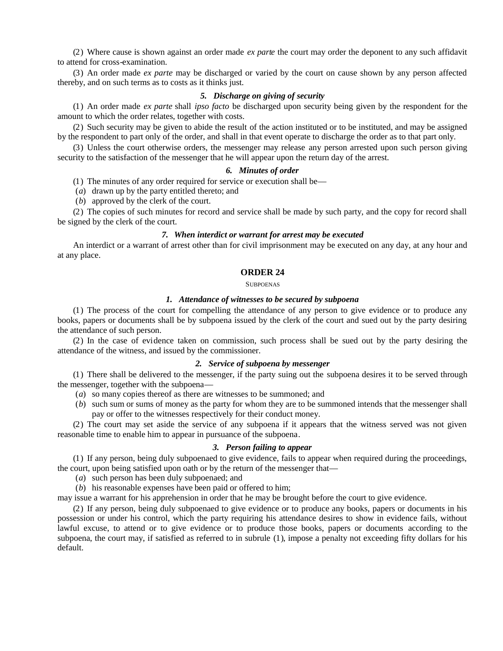(2) Where cause is shown against an order made *ex parte* the court may order the deponent to any such affidavit to attend for cross-examination.

(3) An order made *ex parte* may be discharged or varied by the court on cause shown by any person affected thereby, and on such terms as to costs as it thinks just.

# *5. Discharge on giving of security*

(1) An order made *ex parte* shall *ipso facto* be discharged upon security being given by the respondent for the amount to which the order relates, together with costs.

(2) Such security may be given to abide the result of the action instituted or to be instituted, and may be assigned by the respondent to part only of the order, and shall in that event operate to discharge the order as to that part only.

(3) Unless the court otherwise orders, the messenger may release any person arrested upon such person giving security to the satisfaction of the messenger that he will appear upon the return day of the arrest.

# *6. Minutes of order*

(1) The minutes of any order required for service or execution shall be—

(*a*) drawn up by the party entitled thereto; and

(*b*) approved by the clerk of the court.

(2) The copies of such minutes for record and service shall be made by such party, and the copy for record shall be signed by the clerk of the court.

### *7. When interdict or warrant for arrest may be executed*

An interdict or a warrant of arrest other than for civil imprisonment may be executed on any day, at any hour and at any place.

#### **ORDER 24**

**SUBPOENAS** 

### *1. Attendance of witnesses to be secured by subpoena*

(1) The process of the court for compelling the attendance of any person to give evidence or to produce any books, papers or documents shall be by subpoena issued by the clerk of the court and sued out by the party desiring the attendance of such person.

(2) In the case of evidence taken on commission, such process shall be sued out by the party desiring the attendance of the witness, and issued by the commissioner.

#### *2. Service of subpoena by messenger*

(1) There shall be delivered to the messenger, if the party suing out the subpoena desires it to be served through the messenger, together with the subpoena—

- (*a*) so many copies thereof as there are witnesses to be summoned; and
- (*b*) such sum or sums of money as the party for whom they are to be summoned intends that the messenger shall pay or offer to the witnesses respectively for their conduct money.

(2) The court may set aside the service of any subpoena if it appears that the witness served was not given reasonable time to enable him to appear in pursuance of the subpoena.

### *3. Person failing to appear*

(1) If any person, being duly subpoenaed to give evidence, fails to appear when required during the proceedings, the court, upon being satisfied upon oath or by the return of the messenger that—

- (*a*) such person has been duly subpoenaed; and
- (*b*) his reasonable expenses have been paid or offered to him;

may issue a warrant for his apprehension in order that he may be brought before the court to give evidence.

(2) If any person, being duly subpoenaed to give evidence or to produce any books, papers or documents in his possession or under his control, which the party requiring his attendance desires to show in evidence fails, without lawful excuse, to attend or to give evidence or to produce those books, papers or documents according to the subpoena, the court may, if satisfied as referred to in subrule (1), impose a penalty not exceeding fifty dollars for his default.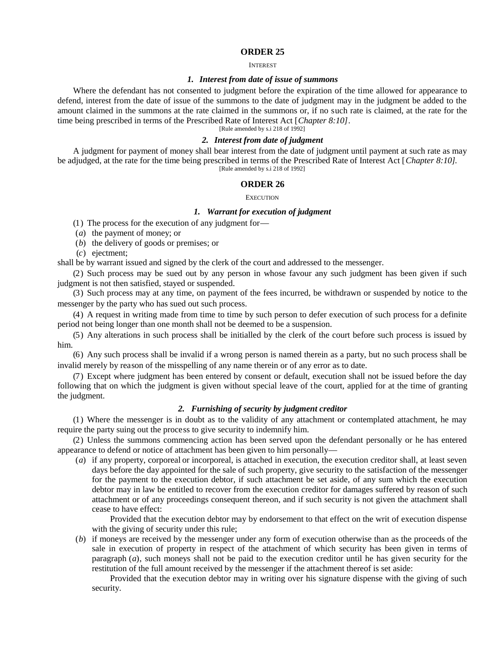#### INTEREST

### *1. Interest from date of issue of summons*

Where the defendant has not consented to judgment before the expiration of the time allowed for appearance to defend, interest from the date of issue of the summons to the date of judgment may in the judgment be added to the amount claimed in the summons at the rate claimed in the summons or, if no such rate is claimed, at the rate for the time being prescribed in terms of the Prescribed Rate of Interest Act [*Chapter 8:10]*.

[Rule amended by s.i 218 of 1992]

# *2. Interest from date of judgment*

A judgment for payment of money shall bear interest from the date of judgment until payment at such rate as may be adjudged, at the rate for the time being prescribed in terms of the Prescribed Rate of Interest Act [*Chapter 8:10]*. [Rule amended by s.i 218 of 1992]

#### **ORDER 26**

#### **EXECUTION**

### *1. Warrant for execution of judgment*

(1) The process for the execution of any judgment for—

- (*a*) the payment of money; or
- (*b*) the delivery of goods or premises; or
- (*c*) ejectment;

shall be by warrant issued and signed by the clerk of the court and addressed to the messenger.

(2) Such process may be sued out by any person in whose favour any such judgment has been given if such judgment is not then satisfied, stayed or suspended.

(3) Such process may at any time, on payment of the fees incurred, be withdrawn or suspended by notice to the messenger by the party who has sued out such process.

(4) A request in writing made from time to time by such person to defer execution of such process for a definite period not being longer than one month shall not be deemed to be a suspension.

(5) Any alterations in such process shall be initialled by the clerk of the court before such process is issued by him.

(6) Any such process shall be invalid if a wrong person is named therein as a party, but no such process shall be invalid merely by reason of the misspelling of any name therein or of any error as to date.

(7) Except where judgment has been entered by consent or default, execution shall not be issued before the day following that on which the judgment is given without special leave of the court, applied for at the time of granting the judgment.

# *2. Furnishing of security by judgment creditor*

(1) Where the messenger is in doubt as to the validity of any attachment or contemplated attachment, he may require the party suing out the process to give security to indemnify him.

(2) Unless the summons commencing action has been served upon the defendant personally or he has entered appearance to defend or notice of attachment has been given to him personally—

(*a*) if any property, corporeal or incorporeal, is attached in execution, the execution creditor shall, at least seven days before the day appointed for the sale of such property, give security to the satisfaction of the messenger for the payment to the execution debtor, if such attachment be set aside, of any sum which the execution debtor may in law be entitled to recover from the execution creditor for damages suffered by reason of such attachment or of any proceedings consequent thereon, and if such security is not given the attachment shall cease to have effect:

Provided that the execution debtor may by endorsement to that effect on the writ of execution dispense with the giving of security under this rule;

(*b*) if moneys are received by the messenger under any form of execution otherwise than as the proceeds of the sale in execution of property in respect of the attachment of which security has been given in terms of paragraph (*a*), such moneys shall not be paid to the execution creditor until he has given security for the restitution of the full amount received by the messenger if the attachment thereof is set aside:

Provided that the execution debtor may in writing over his signature dispense with the giving of such security.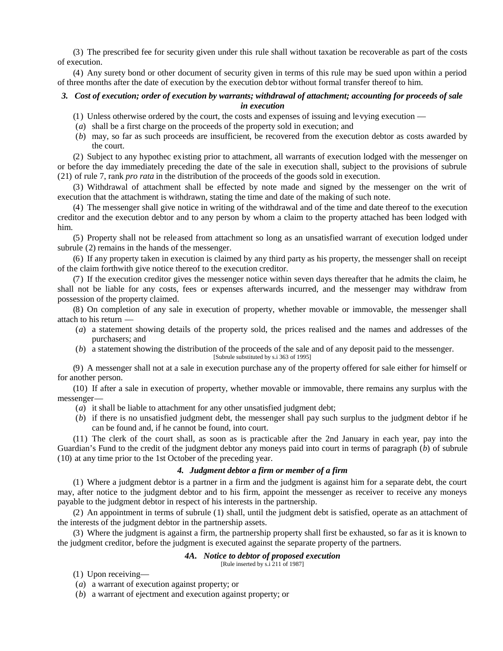(3) The prescribed fee for security given under this rule shall without taxation be recoverable as part of the costs of execution.

(4) Any surety bond or other document of security given in terms of this rule may be sued upon within a period of three months after the date of execution by the execution debtor without formal transfer thereof to him.

### *3. Cost of execution; order of execution by warrants; withdrawal of attachment; accounting for proceeds of sale in execution*

- (1) Unless otherwise ordered by the court, the costs and expenses of issuing and levying execution —
- (*a*) shall be a first charge on the proceeds of the property sold in execution; and
- (*b*) may, so far as such proceeds are insufficient, be recovered from the execution debtor as costs awarded by the court.

(2) Subject to any hypothec existing prior to attachment, all warrants of execution lodged with the messenger on or before the day immediately preceding the date of the sale in execution shall, subject to the provisions of subrule (21) of rule 7, rank *pro rata* in the distribution of the proceeds of the goods sold in execution.

(3) Withdrawal of attachment shall be effected by note made and signed by the messenger on the writ of execution that the attachment is withdrawn, stating the time and date of the making of such note.

(4) The messenger shall give notice in writing of the withdrawal and of the time and date thereof to the execution creditor and the execution debtor and to any person by whom a claim to the property attached has been lodged with him.

(5) Property shall not be released from attachment so long as an unsatisfied warrant of execution lodged under subrule (2) remains in the hands of the messenger.

(6) If any property taken in execution is claimed by any third party as his property, the messenger shall on receipt of the claim forthwith give notice thereof to the execution creditor.

(7) If the execution creditor gives the messenger notice within seven days thereafter that he admits the claim, he shall not be liable for any costs, fees or expenses afterwards incurred, and the messenger may withdraw from possession of the property claimed.

(8) On completion of any sale in execution of property, whether movable or immovable, the messenger shall attach to his return —

- (*a*) a statement showing details of the property sold, the prices realised and the names and addresses of the purchasers; and
- (*b*) a statement showing the distribution of the proceeds of the sale and of any deposit paid to the messenger.

[Subrule substituted by s.i 363 of 1995]

(9) A messenger shall not at a sale in execution purchase any of the property offered for sale either for himself or for another person.

(10) If after a sale in execution of property, whether movable or immovable, there remains any surplus with the messenger—

- (*a*) it shall be liable to attachment for any other unsatisfied judgment debt;
- (*b*) if there is no unsatisfied judgment debt, the messenger shall pay such surplus to the judgment debtor if he can be found and, if he cannot be found, into court.

(11) The clerk of the court shall, as soon as is practicable after the 2nd January in each year, pay into the Guardian's Fund to the credit of the judgment debtor any moneys paid into court in terms of paragraph (*b*) of subrule (10) at any time prior to the 1st October of the preceding year.

# *4. Judgment debtor a firm or member of a firm*

(1) Where a judgment debtor is a partner in a firm and the judgment is against him for a separate debt, the court may, after notice to the judgment debtor and to his firm, appoint the messenger as receiver to receive any moneys payable to the judgment debtor in respect of his interests in the partnership.

(2) An appointment in terms of subrule (1) shall, until the judgment debt is satisfied, operate as an attachment of the interests of the judgment debtor in the partnership assets.

(3) Where the judgment is against a firm, the partnership property shall first be exhausted, so far as it is known to the judgment creditor, before the judgment is executed against the separate property of the partners.

# *4A. Notice to debtor of proposed execution*

[Rule inserted by s.i 211 of 1987]

(1) Upon receiving—

- (*a*) a warrant of execution against property; or
- (*b*) a warrant of ejectment and execution against property; or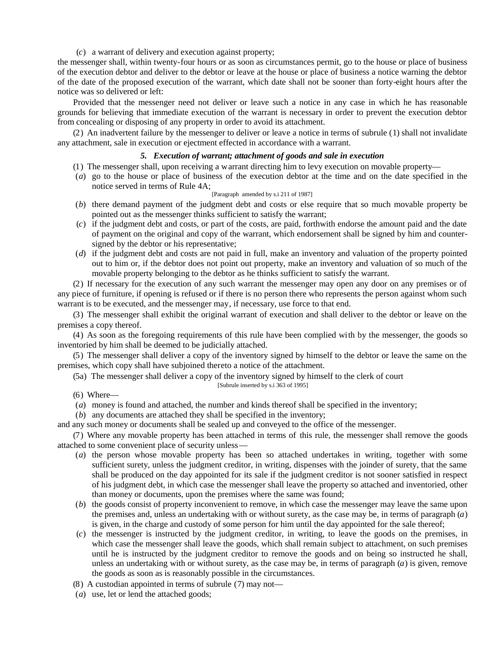(*c*) a warrant of delivery and execution against property;

the messenger shall, within twenty-four hours or as soon as circumstances permit, go to the house or place of business of the execution debtor and deliver to the debtor or leave at the house or place of business a notice warning the debtor of the date of the proposed execution of the warrant, which date shall not be sooner than forty-eight hours after the notice was so delivered or left:

Provided that the messenger need not deliver or leave such a notice in any case in which he has reasonable grounds for believing that immediate execution of the warrant is necessary in order to prevent the execution debtor from concealing or disposing of any property in order to avoid its attachment.

(2) An inadvertent failure by the messenger to deliver or leave a notice in terms of subrule (1) shall not invalidate any attachment, sale in execution or ejectment effected in accordance with a warrant.

#### *5. Execution of warrant; attachment of goods and sale in execution*

- (1) The messenger shall, upon receiving a warrant directing him to levy execution on movable property—
- (*a*) go to the house or place of business of the execution debtor at the time and on the date specified in the notice served in terms of Rule 4A;

#### [Paragraph amended by s.i 211 of 1987]

- (*b*) there demand payment of the judgment debt and costs or else require that so much movable property be pointed out as the messenger thinks sufficient to satisfy the warrant;
- (*c*) if the judgment debt and costs, or part of the costs, are paid, forthwith endorse the amount paid and the date of payment on the original and copy of the warrant, which endorsement shall be signed by him and countersigned by the debtor or his representative;
- (*d*) if the judgment debt and costs are not paid in full, make an inventory and valuation of the property pointed out to him or, if the debtor does not point out property, make an inventory and valuation of so much of the movable property belonging to the debtor as he thinks sufficient to satisfy the warrant.

(2) If necessary for the execution of any such warrant the messenger may open any door on any premises or of any piece of furniture, if opening is refused or if there is no person there who represents the person against whom such warrant is to be executed, and the messenger may, if necessary, use force to that end.

(3) The messenger shall exhibit the original warrant of execution and shall deliver to the debtor or leave on the premises a copy thereof.

(4) As soon as the foregoing requirements of this rule have been complied with by the messenger, the goods so inventoried by him shall be deemed to be judicially attached.

(5) The messenger shall deliver a copy of the inventory signed by himself to the debtor or leave the same on the premises, which copy shall have subjoined thereto a notice of the attachment.

(5a) The messenger shall deliver a copy of the inventory signed by himself to the clerk of court

[Subrule inserted by s.i 363 of 1995]

 $(6)$  Where—

- (*a*) money is found and attached, the number and kinds thereof shall be specified in the inventory;
- (*b*) any documents are attached they shall be specified in the inventory;

and any such money or documents shall be sealed up and conveyed to the office of the messenger.

(7) Where any movable property has been attached in terms of this rule, the messenger shall remove the goods attached to some convenient place of security unless—

- (*a*) the person whose movable property has been so attached undertakes in writing, together with some sufficient surety, unless the judgment creditor, in writing, dispenses with the joinder of surety, that the same shall be produced on the day appointed for its sale if the judgment creditor is not sooner satisfied in respect of his judgment debt, in which case the messenger shall leave the property so attached and inventoried, other than money or documents, upon the premises where the same was found;
- (*b*) the goods consist of property inconvenient to remove, in which case the messenger may leave the same upon the premises and, unless an undertaking with or without surety, as the case may be, in terms of paragraph (*a*) is given, in the charge and custody of some person for him until the day appointed for the sale thereof;
- (*c*) the messenger is instructed by the judgment creditor, in writing, to leave the goods on the premises, in which case the messenger shall leave the goods, which shall remain subject to attachment, on such premises until he is instructed by the judgment creditor to remove the goods and on being so instructed he shall, unless an undertaking with or without surety, as the case may be, in terms of paragraph  $(a)$  is given, remove the goods as soon as is reasonably possible in the circumstances.
- (8) A custodian appointed in terms of subrule (7) may not—
- (*a*) use, let or lend the attached goods;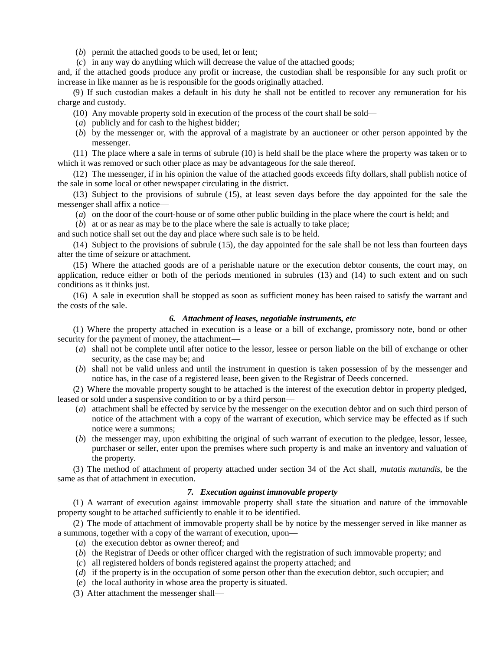- (*b*) permit the attached goods to be used, let or lent:
- (*c*) in any way do anything which will decrease the value of the attached goods;

and, if the attached goods produce any profit or increase, the custodian shall be responsible for any such profit or increase in like manner as he is responsible for the goods originally attached.

(9) If such custodian makes a default in his duty he shall not be entitled to recover any remuneration for his charge and custody.

- (10) Any movable property sold in execution of the process of the court shall be sold—
- (*a*) publicly and for cash to the highest bidder;
- (*b*) by the messenger or, with the approval of a magistrate by an auctioneer or other person appointed by the messenger.

(11) The place where a sale in terms of subrule (10) is held shall be the place where the property was taken or to which it was removed or such other place as may be advantageous for the sale thereof.

(12) The messenger, if in his opinion the value of the attached goods exceeds fifty dollars, shall publish notice of the sale in some local or other newspaper circulating in the district.

(13) Subject to the provisions of subrule (15), at least seven days before the day appointed for the sale the messenger shall affix a notice—

(*a*) on the door of the court-house or of some other public building in the place where the court is held; and

(*b*) at or as near as may be to the place where the sale is actually to take place;

and such notice shall set out the day and place where such sale is to be held.

(14) Subject to the provisions of subrule (15), the day appointed for the sale shall be not less than fourteen days after the time of seizure or attachment.

(15) Where the attached goods are of a perishable nature or the execution debtor consents, the court may, on application, reduce either or both of the periods mentioned in subrules (13) and (14) to such extent and on such conditions as it thinks just.

(16) A sale in execution shall be stopped as soon as sufficient money has been raised to satisfy the warrant and the costs of the sale.

#### *6. Attachment of leases, negotiable instruments, etc*

(1) Where the property attached in execution is a lease or a bill of exchange, promissory note, bond or other security for the payment of money, the attachment—

- (*a*) shall not be complete until after notice to the lessor, lessee or person liable on the bill of exchange or other security, as the case may be; and
- (*b*) shall not be valid unless and until the instrument in question is taken possession of by the messenger and notice has, in the case of a registered lease, been given to the Registrar of Deeds concerned.

(2) Where the movable property sought to be attached is the interest of the execution debtor in property pledged, leased or sold under a suspensive condition to or by a third person—

- (*a*) attachment shall be effected by service by the messenger on the execution debtor and on such third person of notice of the attachment with a copy of the warrant of execution, which service may be effected as if such notice were a summons;
- (*b*) the messenger may, upon exhibiting the original of such warrant of execution to the pledgee, lessor, lessee, purchaser or seller, enter upon the premises where such property is and make an inventory and valuation of the property.

(3) The method of attachment of property attached under section 34 of the Act shall, *mutatis mutandis*, be the same as that of attachment in execution.

# *7. Execution against immovable property*

(1) A warrant of execution against immovable property shall state the situation and nature of the immovable property sought to be attached sufficiently to enable it to be identified.

(2) The mode of attachment of immovable property shall be by notice by the messenger served in like manner as a summons, together with a copy of the warrant of execution, upon—

- (*a*) the execution debtor as owner thereof; and
- (*b*) the Registrar of Deeds or other officer charged with the registration of such immovable property; and
- (*c*) all registered holders of bonds registered against the property attached; and
- (*d*) if the property is in the occupation of some person other than the execution debtor, such occupier; and
- (*e*) the local authority in whose area the property is situated.
- (3) After attachment the messenger shall—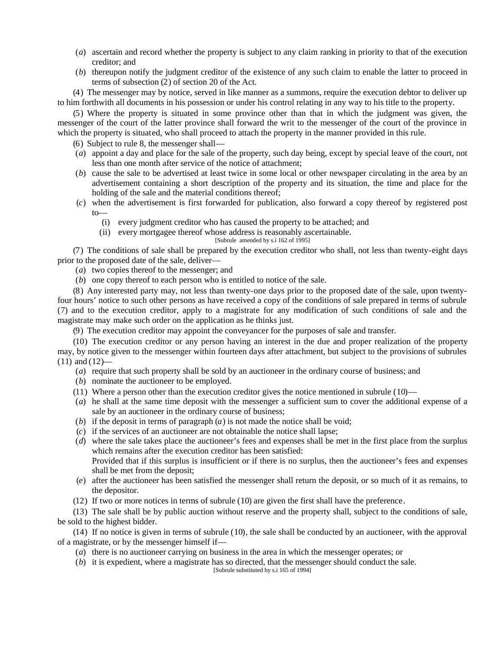- (*a*) ascertain and record whether the property is subject to any claim ranking in priority to that of the execution creditor; and
- (*b*) thereupon notify the judgment creditor of the existence of any such claim to enable the latter to proceed in terms of subsection (2) of section 20 of the Act.

(4) The messenger may by notice, served in like manner as a summons, require the execution debtor to deliver up to him forthwith all documents in his possession or under his control relating in any way to his title to the property.

(5) Where the property is situated in some province other than that in which the judgment was given, the messenger of the court of the latter province shall forward the writ to the messenger of the court of the province in which the property is situated, who shall proceed to attach the property in the manner provided in this rule.

- (6) Subject to rule 8, the messenger shall—
- (*a*) appoint a day and place for the sale of the property, such day being, except by special leave of the court, not less than one month after service of the notice of attachment;
- (*b*) cause the sale to be advertised at least twice in some local or other newspaper circulating in the area by an advertisement containing a short description of the property and its situation, the time and place for the holding of the sale and the material conditions thereof;
- (*c*) when the advertisement is first forwarded for publication, also forward a copy thereof by registered post to—
	- (i) every judgment creditor who has caused the property to be attached; and

(ii) every mortgagee thereof whose address is reasonably ascertainable.

[Subrule amended by s.i 162 of 1995]

(7) The conditions of sale shall be prepared by the execution creditor who shall, not less than twenty-eight days prior to the proposed date of the sale, deliver—

(*a*) two copies thereof to the messenger; and

(*b*) one copy thereof to each person who is entitled to notice of the sale.

(8) Any interested party may, not less than twenty-one days prior to the proposed date of the sale, upon twentyfour hours' notice to such other persons as have received a copy of the conditions of sale prepared in terms of subrule (7) and to the execution creditor, apply to a magistrate for any modification of such conditions of sale and the magistrate may make such order on the application as he thinks just.

(9) The execution creditor may appoint the conveyancer for the purposes of sale and transfer.

(10) The execution creditor or any person having an interest in the due and proper realization of the property may, by notice given to the messenger within fourteen days after attachment, but subject to the provisions of subrules  $(11)$  and  $(12)$ —

- (*a*) require that such property shall be sold by an auctioneer in the ordinary course of business; and
- (*b*) nominate the auctioneer to be employed.
- (11) Where a person other than the execution creditor gives the notice mentioned in subrule (10)—
- (*a*) he shall at the same time deposit with the messenger a sufficient sum to cover the additional expense of a sale by an auctioneer in the ordinary course of business;
- (*b*) if the deposit in terms of paragraph (*a*) is not made the notice shall be void;
- (*c*) if the services of an auctioneer are not obtainable the notice shall lapse;
- (*d*) where the sale takes place the auctioneer's fees and expenses shall be met in the first place from the surplus which remains after the execution creditor has been satisfied: Provided that if this surplus is insufficient or if there is no surplus, then the auctioneer's fees and expenses
- shall be met from the deposit; (*e*) after the auctioneer has been satisfied the messenger shall return the deposit, or so much of it as remains, to the depositor.
- (12) If two or more notices in terms of subrule (10) are given the first shall have the preference.

(13) The sale shall be by public auction without reserve and the property shall, subject to the conditions of sale, be sold to the highest bidder.

(14) If no notice is given in terms of subrule (10), the sale shall be conducted by an auctioneer, with the approval of a magistrate, or by the messenger himself if—

- (*a*) there is no auctioneer carrying on business in the area in which the messenger operates; or
- (*b*) it is expedient, where a magistrate has so directed, that the messenger should conduct the sale. [Subrule substituted by s.i 165 of 1994]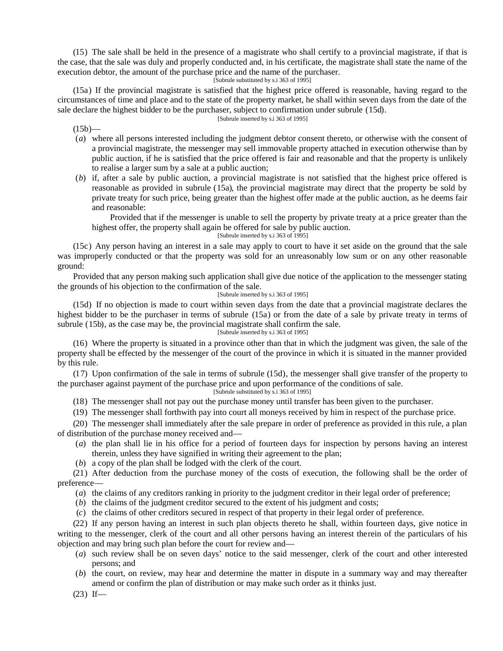(15) The sale shall be held in the presence of a magistrate who shall certify to a provincial magistrate, if that is the case, that the sale was duly and properly conducted and, in his certificate, the magistrate shall state the name of the execution debtor, the amount of the purchase price and the name of the purchaser.

[Subrule substituted by s.i 363 of 1995]

(15a) If the provincial magistrate is satisfied that the highest price offered is reasonable, having regard to the circumstances of time and place and to the state of the property market, he shall within seven days from the date of the sale declare the highest bidder to be the purchaser, subject to confirmation under subrule (15d).

#### [Subrule inserted by s.i 363 of 1995]

 $(15b)$ —

- (*a*) where all persons interested including the judgment debtor consent thereto, or otherwise with the consent of a provincial magistrate, the messenger may sell immovable property attached in execution otherwise than by public auction, if he is satisfied that the price offered is fair and reasonable and that the property is unlikely to realise a larger sum by a sale at a public auction;
- (*b*) if, after a sale by public auction, a provincial magistrate is not satisfied that the highest price offered is reasonable as provided in subrule (15a), the provincial magistrate may direct that the property be sold by private treaty for such price, being greater than the highest offer made at the public auction, as he deems fair and reasonable:

Provided that if the messenger is unable to sell the property by private treaty at a price greater than the highest offer, the property shall again be offered for sale by public auction.

[Subrule inserted by s.i 363 of 1995]

(15c) Any person having an interest in a sale may apply to court to have it set aside on the ground that the sale was improperly conducted or that the property was sold for an unreasonably low sum or on any other reasonable ground:

Provided that any person making such application shall give due notice of the application to the messenger stating the grounds of his objection to the confirmation of the sale.

#### [Subrule inserted by s.i 363 of 1995]

(15d) If no objection is made to court within seven days from the date that a provincial magistrate declares the highest bidder to be the purchaser in terms of subrule (15a) or from the date of a sale by private treaty in terms of subrule (15b), as the case may be, the provincial magistrate shall confirm the sale. [Subrule inserted by s.i 363 of 1995]

(16) Where the property is situated in a province other than that in which the judgment was given, the sale of the property shall be effected by the messenger of the court of the province in which it is situated in the manner provided by this rule.

(17) Upon confirmation of the sale in terms of subrule (15d), the messenger shall give transfer of the property to the purchaser against payment of the purchase price and upon performance of the conditions of sale.

[Subrule substituted by s.i 363 of 1995]

(18) The messenger shall not pay out the purchase money until transfer has been given to the purchaser.

(19) The messenger shall forthwith pay into court all moneys received by him in respect of the purchase price.

(20) The messenger shall immediately after the sale prepare in order of preference as provided in this rule, a plan of distribution of the purchase money received and—

- (*a*) the plan shall lie in his office for a period of fourteen days for inspection by persons having an interest therein, unless they have signified in writing their agreement to the plan;
- (*b*) a copy of the plan shall be lodged with the clerk of the court.

(21) After deduction from the purchase money of the costs of execution, the following shall be the order of preference—

- (*a*) the claims of any creditors ranking in priority to the judgment creditor in their legal order of preference;
- (*b*) the claims of the judgment creditor secured to the extent of his judgment and costs;
- (*c*) the claims of other creditors secured in respect of that property in their legal order of preference.

(22) If any person having an interest in such plan objects thereto he shall, within fourteen days, give notice in writing to the messenger, clerk of the court and all other persons having an interest therein of the particulars of his objection and may bring such plan before the court for review and—

- (*a*) such review shall be on seven days' notice to the said messenger, clerk of the court and other interested persons; and
- (*b*) the court, on review, may hear and determine the matter in dispute in a summary way and may thereafter amend or confirm the plan of distribution or may make such order as it thinks just.
- $(23)$  If—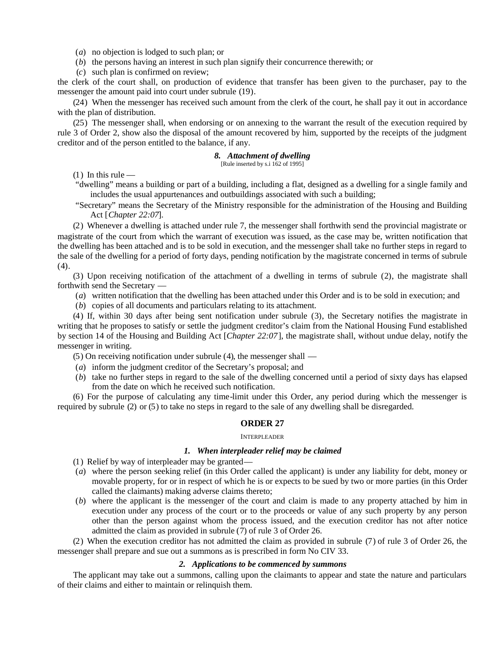(*a*) no objection is lodged to such plan; or

- (*b*) the persons having an interest in such plan signify their concurrence therewith; or
- (*c*) such plan is confirmed on review;

the clerk of the court shall, on production of evidence that transfer has been given to the purchaser, pay to the messenger the amount paid into court under subrule (19).

(24) When the messenger has received such amount from the clerk of the court, he shall pay it out in accordance with the plan of distribution.

(25) The messenger shall, when endorsing or on annexing to the warrant the result of the execution required by rule 3 of Order 2, show also the disposal of the amount recovered by him, supported by the receipts of the judgment creditor and of the person entitled to the balance, if any.

#### *8. Attachment of dwelling*

[Rule inserted by s.i 162 of 1995]

 $(1)$  In this rule —

- "dwelling" means a building or part of a building, including a flat, designed as a dwelling for a single family and includes the usual appurtenances and outbuildings associated with such a building;
- "Secretary" means the Secretary of the Ministry responsible for the administration of the Housing and Building Act [*Chapter 22:07*].

(2) Whenever a dwelling is attached under rule 7, the messenger shall forthwith send the provincial magistrate or magistrate of the court from which the warrant of execution was issued, as the case may be, written notification that the dwelling has been attached and is to be sold in execution, and the messenger shall take no further steps in regard to the sale of the dwelling for a period of forty days, pending notification by the magistrate concerned in terms of subrule  $(4).$ 

(3) Upon receiving notification of the attachment of a dwelling in terms of subrule (2), the magistrate shall forthwith send the Secretary —

- (*a*) written notification that the dwelling has been attached under this Order and is to be sold in execution; and
- (*b*) copies of all documents and particulars relating to its attachment.

(4) If, within 30 days after being sent notification under subrule (3), the Secretary notifies the magistrate in writing that he proposes to satisfy or settle the judgment creditor's claim from the National Housing Fund established by section 14 of the Housing and Building Act [*Chapter 22:07*], the magistrate shall, without undue delay, notify the messenger in writing.

(5) On receiving notification under subrule (4), the messenger shall —

- (*a*) inform the judgment creditor of the Secretary's proposal; and
- (*b*) take no further steps in regard to the sale of the dwelling concerned until a period of sixty days has elapsed from the date on which he received such notification.

(6) For the purpose of calculating any time-limit under this Order, any period during which the messenger is required by subrule (2) or (5) to take no steps in regard to the sale of any dwelling shall be disregarded.

#### **ORDER 27**

### INTERPLEADER

### *1. When interpleader relief may be claimed*

- (1) Relief by way of interpleader may be granted—
- (*a*) where the person seeking relief (in this Order called the applicant) is under any liability for debt, money or movable property, for or in respect of which he is or expects to be sued by two or more parties (in this Order called the claimants) making adverse claims thereto;
- (*b*) where the applicant is the messenger of the court and claim is made to any property attached by him in execution under any process of the court or to the proceeds or value of any such property by any person other than the person against whom the process issued, and the execution creditor has not after notice admitted the claim as provided in subrule (7) of rule 3 of Order 26.

(2) When the execution creditor has not admitted the claim as provided in subrule (7) of rule 3 of Order 26, the messenger shall prepare and sue out a summons as is prescribed in form No CIV 33.

# *2. Applications to be commenced by summons*

The applicant may take out a summons, calling upon the claimants to appear and state the nature and particulars of their claims and either to maintain or relinquish them.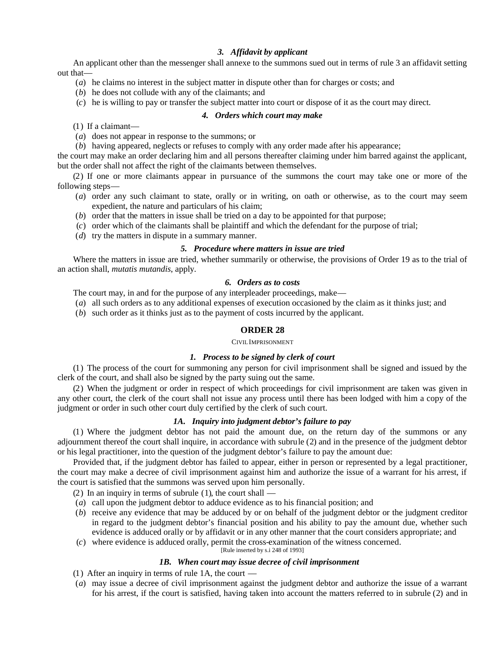# *3. Affidavit by applicant*

An applicant other than the messenger shall annexe to the summons sued out in terms of rule 3 an affidavit setting out that—

- (*a*) he claims no interest in the subject matter in dispute other than for charges or costs; and
- (*b*) he does not collude with any of the claimants; and
- (*c*) he is willing to pay or transfer the subject matter into court or dispose of it as the court may direct.

### *4. Orders which court may make*

(1) If a claimant—

- (*a*) does not appear in response to the summons; or
- (*b*) having appeared, neglects or refuses to comply with any order made after his appearance;

the court may make an order declaring him and all persons thereafter claiming under him barred against the applicant, but the order shall not affect the right of the claimants between themselves.

(2) If one or more claimants appear in pursuance of the summons the court may take one or more of the following steps—

- (*a*) order any such claimant to state, orally or in writing, on oath or otherwise, as to the court may seem expedient, the nature and particulars of his claim;
- (*b*) order that the matters in issue shall be tried on a day to be appointed for that purpose;
- (*c*) order which of the claimants shall be plaintiff and which the defendant for the purpose of trial;
- (*d*) try the matters in dispute in a summary manner.

# *5. Procedure where matters in issue are tried*

Where the matters in issue are tried, whether summarily or otherwise, the provisions of Order 19 as to the trial of an action shall, *mutatis mutandis*, apply.

### *6. Orders as to costs*

The court may, in and for the purpose of any interpleader proceedings, make—

- (*a*) all such orders as to any additional expenses of execution occasioned by the claim as it thinks just; and
- (*b*) such order as it thinks just as to the payment of costs incurred by the applicant.

# **ORDER 28**

CIVIL IMPRISONMENT

## *1. Process to be signed by clerk of court*

(1) The process of the court for summoning any person for civil imprisonment shall be signed and issued by the clerk of the court, and shall also be signed by the party suing out the same.

(2) When the judgment or order in respect of which proceedings for civil imprisonment are taken was given in any other court, the clerk of the court shall not issue any process until there has been lodged with him a copy of the judgment or order in such other court duly certified by the clerk of such court.

# *1A. Inquiry into judgment debtor's failure to pay*

(1) Where the judgment debtor has not paid the amount due, on the return day of the summons or any adjournment thereof the court shall inquire, in accordance with subrule (2) and in the presence of the judgment debtor or his legal practitioner, into the question of the judgment debtor's failure to pay the amount due:

Provided that, if the judgment debtor has failed to appear, either in person or represented by a legal practitioner, the court may make a decree of civil imprisonment against him and authorize the issue of a warrant for his arrest, if the court is satisfied that the summons was served upon him personally.

(2) In an inquiry in terms of subrule  $(1)$ , the court shall -

- (*a*) call upon the judgment debtor to adduce evidence as to his financial position; and
- (*b*) receive any evidence that may be adduced by or on behalf of the judgment debtor or the judgment creditor in regard to the judgment debtor's financial position and his ability to pay the amount due, whether such evidence is adduced orally or by affidavit or in any other manner that the court considers appropriate; and
- (*c*) where evidence is adduced orally, permit the cross-examination of the witness concerned.

[Rule inserted by s.i 248 of 1993]

# *1B. When court may issue decree of civil imprisonment*

- (1) After an inquiry in terms of rule 1A, the court —
- (*a*) may issue a decree of civil imprisonment against the judgment debtor and authorize the issue of a warrant for his arrest, if the court is satisfied, having taken into account the matters referred to in subrule (2) and in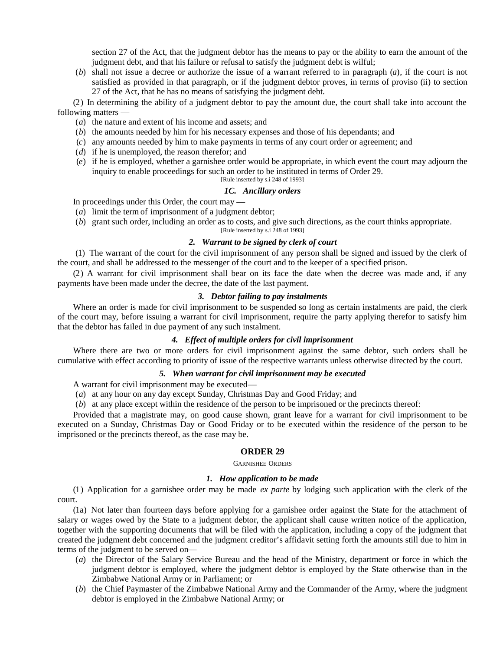section 27 of the Act, that the judgment debtor has the means to pay or the ability to earn the amount of the judgment debt, and that his failure or refusal to satisfy the judgment debt is wilful;

(*b*) shall not issue a decree or authorize the issue of a warrant referred to in paragraph (*a*), if the court is not satisfied as provided in that paragraph, or if the judgment debtor proves, in terms of proviso (ii) to section 27 of the Act, that he has no means of satisfying the judgment debt.

(2) In determining the ability of a judgment debtor to pay the amount due, the court shall take into account the following matters —

- (*a*) the nature and extent of his income and assets; and
- (*b*) the amounts needed by him for his necessary expenses and those of his dependants; and
- (*c*) any amounts needed by him to make payments in terms of any court order or agreement; and
- (*d*) if he is unemployed, the reason therefor; and
- (*e*) if he is employed, whether a garnishee order would be appropriate, in which event the court may adjourn the inquiry to enable proceedings for such an order to be instituted in terms of Order 29.

[Rule inserted by s.i 248 of 1993]

### *1C. Ancillary orders*

In proceedings under this Order, the court may —

- (*a*) limit the term of imprisonment of a judgment debtor;
- (*b*) grant such order, including an order as to costs, and give such directions, as the court thinks appropriate.

[Rule inserted by s.i 248 of 1993]

# *2. Warrant to be signed by clerk of court*

(1) The warrant of the court for the civil imprisonment of any person shall be signed and issued by the clerk of the court, and shall be addressed to the messenger of the court and to the keeper of a specified prison.

(2) A warrant for civil imprisonment shall bear on its face the date when the decree was made and, if any payments have been made under the decree, the date of the last payment.

# *3. Debtor failing to pay instalments*

Where an order is made for civil imprisonment to be suspended so long as certain instalments are paid, the clerk of the court may, before issuing a warrant for civil imprisonment, require the party applying therefor to satisfy him that the debtor has failed in due payment of any such instalment.

### *4. Effect of multiple orders for civil imprisonment*

Where there are two or more orders for civil imprisonment against the same debtor, such orders shall be cumulative with effect according to priority of issue of the respective warrants unless otherwise directed by the court.

### *5. When warrant for civil imprisonment may be executed*

A warrant for civil imprisonment may be executed—

(*a*) at any hour on any day except Sunday, Christmas Day and Good Friday; and

(*b*) at any place except within the residence of the person to be imprisoned or the precincts thereof:

Provided that a magistrate may, on good cause shown, grant leave for a warrant for civil imprisonment to be executed on a Sunday, Christmas Day or Good Friday or to be executed within the residence of the person to be imprisoned or the precincts thereof, as the case may be.

#### **ORDER 29**

GARNISHEE ORDERS

# *1. How application to be made*

(1) Application for a garnishee order may be made *ex parte* by lodging such application with the clerk of the court.

(1a) Not later than fourteen days before applying for a garnishee order against the State for the attachment of salary or wages owed by the State to a judgment debtor, the applicant shall cause written notice of the application, together with the supporting documents that will be filed with the application, including a copy of the judgment that created the judgment debt concerned and the judgment creditor's affidavit setting forth the amounts still due to him in terms of the judgment to be served on—

- (*a*) the Director of the Salary Service Bureau and the head of the Ministry, department or force in which the judgment debtor is employed, where the judgment debtor is employed by the State otherwise than in the Zimbabwe National Army or in Parliament; or
- (*b*) the Chief Paymaster of the Zimbabwe National Army and the Commander of the Army, where the judgment debtor is employed in the Zimbabwe National Army; or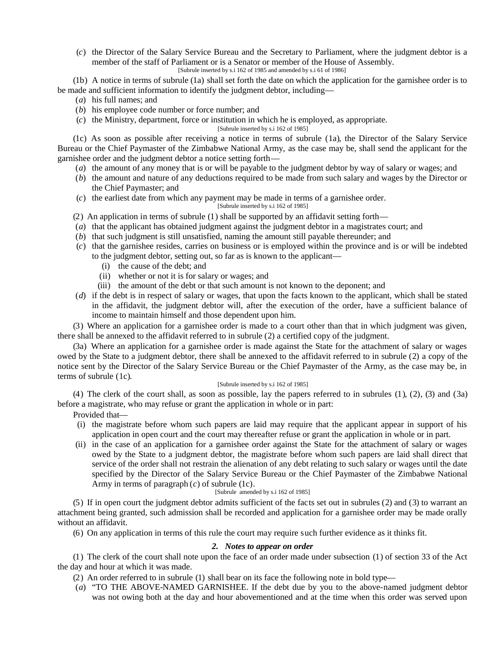(*c*) the Director of the Salary Service Bureau and the Secretary to Parliament, where the judgment debtor is a member of the staff of Parliament or is a Senator or member of the House of Assembly. [Subrule inserted by s.i 162 of 1985 and amended by s.i 61 of 1986]

(1b) A notice in terms of subrule (1a) shall set forth the date on which the application for the garnishee order is to be made and sufficient information to identify the judgment debtor, including—

- (*a*) his full names; and
- (*b*) his employee code number or force number; and
- (*c*) the Ministry, department, force or institution in which he is employed, as appropriate.

[Subrule inserted by s.i 162 of 1985]

(1c) As soon as possible after receiving a notice in terms of subrule (1a), the Director of the Salary Service Bureau or the Chief Paymaster of the Zimbabwe National Army, as the case may be, shall send the applicant for the garnishee order and the judgment debtor a notice setting forth—

- (*a*) the amount of any money that is or will be payable to the judgment debtor by way of salary or wages; and
- (*b*) the amount and nature of any deductions required to be made from such salary and wages by the Director or the Chief Paymaster; and
- (*c*) the earliest date from which any payment may be made in terms of a garnishee order.

#### [Subrule inserted by s.i 162 of 1985]

- (2) An application in terms of subrule (1) shall be supported by an affidavit setting forth—
- (*a*) that the applicant has obtained judgment against the judgment debtor in a magistrates court; and
- (*b*) that such judgment is still unsatisfied, naming the amount still payable thereunder; and
- (*c*) that the garnishee resides, carries on business or is employed within the province and is or will be indebted to the judgment debtor, setting out, so far as is known to the applicant—
	- (i) the cause of the debt; and
	- (ii) whether or not it is for salary or wages; and
	- (iii) the amount of the debt or that such amount is not known to the deponent; and
- (*d*) if the debt is in respect of salary or wages, that upon the facts known to the applicant, which shall be stated in the affidavit, the judgment debtor will, after the execution of the order, have a sufficient balance of income to maintain himself and those dependent upon him.

(3) Where an application for a garnishee order is made to a court other than that in which judgment was given, there shall be annexed to the affidavit referred to in subrule (2) a certified copy of the judgment.

(3a) Where an application for a garnishee order is made against the State for the attachment of salary or wages owed by the State to a judgment debtor, there shall be annexed to the affidavit referred to in subrule (2) a copy of the notice sent by the Director of the Salary Service Bureau or the Chief Paymaster of the Army, as the case may be, in terms of subrule (1c).

#### [Subrule inserted by s.i 162 of 1985]

(4) The clerk of the court shall, as soon as possible, lay the papers referred to in subrules (1), (2), (3) and (3a) before a magistrate, who may refuse or grant the application in whole or in part:

Provided that—

- (i) the magistrate before whom such papers are laid may require that the applicant appear in support of his application in open court and the court may thereafter refuse or grant the application in whole or in part.
- (ii) in the case of an application for a garnishee order against the State for the attachment of salary or wages owed by the State to a judgment debtor, the magistrate before whom such papers are laid shall direct that service of the order shall not restrain the alienation of any debt relating to such salary or wages until the date specified by the Director of the Salary Service Bureau or the Chief Paymaster of the Zimbabwe National Army in terms of paragraph (*c*) of subrule (1c).

#### [Subrule amended by s.i 162 of 1985]

(5) If in open court the judgment debtor admits sufficient of the facts set out in subrules (2) and (3) to warrant an attachment being granted, such admission shall be recorded and application for a garnishee order may be made orally without an affidavit.

(6) On any application in terms of this rule the court may require such further evidence as it thinks fit.

# *2. Notes to appear on order*

(1) The clerk of the court shall note upon the face of an order made under subsection (1) of section 33 of the Act the day and hour at which it was made.

- (2) An order referred to in subrule (1) shall bear on its face the following note in bold type—
- (*a*) "TO THE ABOVE-NAMED GARNISHEE. If the debt due by you to the above-named judgment debtor was not owing both at the day and hour abovementioned and at the time when this order was served upon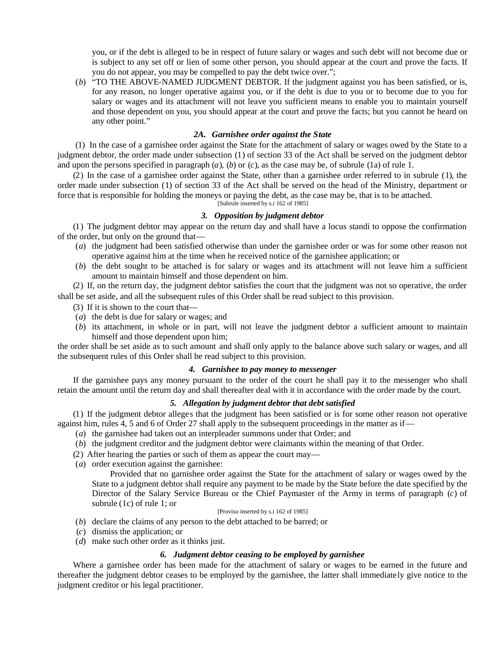you, or if the debt is alleged to be in respect of future salary or wages and such debt will not become due or is subject to any set off or lien of some other person, you should appear at the court and prove the facts. If you do not appear, you may be compelled to pay the debt twice over.";

(*b*) "TO THE ABOVE-NAMED JUDGMENT DEBTOR. If the judgment against you has been satisfied, or is, for any reason, no longer operative against you, or if the debt is due to you or to become due to you for salary or wages and its attachment will not leave you sufficient means to enable you to maintain yourself and those dependent on you, you should appear at the court and prove the facts; but you cannot be heard on any other point."

# *2A. Garnishee order against the State*

(1) In the case of a garnishee order against the State for the attachment of salary or wages owed by the State to a judgment debtor, the order made under subsection (1) of section 33 of the Act shall be served on the judgment debtor and upon the persons specified in paragraph  $(a)$ ,  $(b)$  or  $(c)$ , as the case may be, of subrule (1a) of rule 1.

(2) In the case of a garnishee order against the State, other than a garnishee order referred to in subrule (1), the order made under subsection (1) of section 33 of the Act shall be served on the head of the Ministry, department or force that is responsible for holding the moneys or paying the debt, as the case may be, that is to be attached. [Subrule inserted by s.i  $162$  of 1985]

### *3. Opposition by judgment debtor*

(1) The judgment debtor may appear on the return day and shall have a locus standi to oppose the confirmation of the order, but only on the ground that—

- (*a*) the judgment had been satisfied otherwise than under the garnishee order or was for some other reason not operative against him at the time when he received notice of the garnishee application; or
- (*b*) the debt sought to be attached is for salary or wages and its attachment will not leave him a sufficient amount to maintain himself and those dependent on him.

(2) If, on the return day, the judgment debtor satisfies the court that the judgment was not so operative, the order shall be set aside, and all the subsequent rules of this Order shall be read subject to this provision.

- (3) If it is shown to the court that—
- (*a*) the debt is due for salary or wages; and
- (*b*) its attachment, in whole or in part, will not leave the judgment debtor a sufficient amount to maintain himself and those dependent upon him;

the order shall be set aside as to such amount and shall only apply to the balance above such salary or wages, and all the subsequent rules of this Order shall be read subject to this provision.

# *4. Garnishee to pay money to messenger*

If the garnishee pays any money pursuant to the order of the court he shall pay it to the messenger who shall retain the amount until the return day and shall thereafter deal with it in accordance with the order made by the court.

### *5. Allegation by judgment debtor that debt satisfied*

(1) If the judgment debtor alleges that the judgment has been satisfied or is for some other reason not operative against him, rules 4, 5 and 6 of Order 27 shall apply to the subsequent proceedings in the matter as if—

- (*a*) the garnishee had taken out an interpleader summons under that Order; and
- (*b*) the judgment creditor and the judgment debtor were claimants within the meaning of that Order.
- (2) After hearing the parties or such of them as appear the court may—
- (*a*) order execution against the garnishee:

Provided that no garnishee order against the State for the attachment of salary or wages owed by the State to a judgment debtor shall require any payment to be made by the State before the date specified by the Director of the Salary Service Bureau or the Chief Paymaster of the Army in terms of paragraph (*c*) of subrule (1c) of rule 1; or

# [Proviso inserted by s.i 162 of 1985]

- (*b*) declare the claims of any person to the debt attached to be barred; or
- (*c*) dismiss the application; or
- (*d*) make such other order as it thinks just.

#### *6. Judgment debtor ceasing to be employed by garnishee*

Where a garnishee order has been made for the attachment of salary or wages to be earned in the future and thereafter the judgment debtor ceases to be employed by the garnishee, the latter shall immediately give notice to the judgment creditor or his legal practitioner.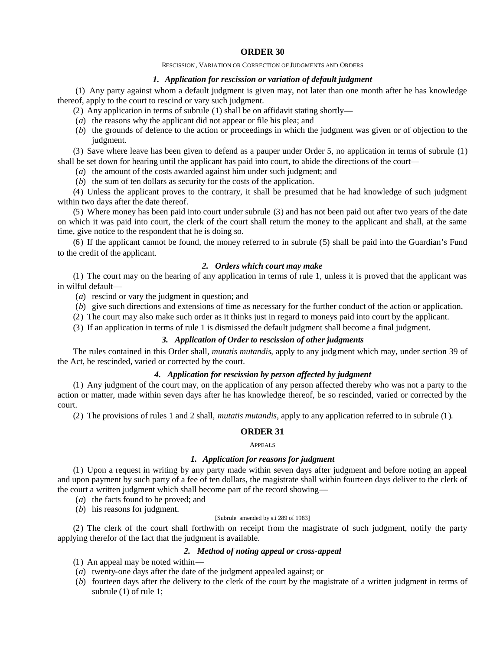#### RESCISSION, VARIATION OR CORRECTION OF JUDGMENTS AND ORDERS

### *1. Application for rescission or variation of default judgment*

(1) Any party against whom a default judgment is given may, not later than one month after he has knowledge thereof, apply to the court to rescind or vary such judgment.

(2) Any application in terms of subrule (1) shall be on affidavit stating shortly—

- (*a*) the reasons why the applicant did not appear or file his plea; and
- (*b*) the grounds of defence to the action or proceedings in which the judgment was given or of objection to the judgment.

(3) Save where leave has been given to defend as a pauper under Order 5, no application in terms of subrule (1)

shall be set down for hearing until the applicant has paid into court, to abide the directions of the court—

(*a*) the amount of the costs awarded against him under such judgment; and

(*b*) the sum of ten dollars as security for the costs of the application.

(4) Unless the applicant proves to the contrary, it shall be presumed that he had knowledge of such judgment within two days after the date thereof.

(5) Where money has been paid into court under subrule (3) and has not been paid out after two years of the date on which it was paid into court, the clerk of the court shall return the money to the applicant and shall, at the same time, give notice to the respondent that he is doing so.

(6) If the applicant cannot be found, the money referred to in subrule (5) shall be paid into the Guardian's Fund to the credit of the applicant.

### *2. Orders which court may make*

(1) The court may on the hearing of any application in terms of rule 1, unless it is proved that the applicant was in wilful default—

(*a*) rescind or vary the judgment in question; and

(*b*) give such directions and extensions of time as necessary for the further conduct of the action or application.

(2) The court may also make such order as it thinks just in regard to moneys paid into court by the applicant.

(3) If an application in terms of rule 1 is dismissed the default judgment shall become a final judgment.

# *3. Application of Order to rescission of other judgments*

The rules contained in this Order shall, *mutatis mutandis*, apply to any judgment which may, under section 39 of the Act, be rescinded, varied or corrected by the court.

# *4. Application for rescission by person affected by judgment*

(1) Any judgment of the court may, on the application of any person affected thereby who was not a party to the action or matter, made within seven days after he has knowledge thereof, be so rescinded, varied or corrected by the court.

(2) The provisions of rules 1 and 2 shall, *mutatis mutandis*, apply to any application referred to in subrule (1).

# **ORDER 31**

APPEALS

#### *1. Application for reasons for judgment*

(1) Upon a request in writing by any party made within seven days after judgment and before noting an appeal and upon payment by such party of a fee of ten dollars, the magistrate shall within fourteen days deliver to the clerk of the court a written judgment which shall become part of the record showing—

- (*a*) the facts found to be proved; and
- (*b*) his reasons for judgment.

#### [Subrule amended by s.i 289 of 1983]

(2) The clerk of the court shall forthwith on receipt from the magistrate of such judgment, notify the party applying therefor of the fact that the judgment is available.

# *2. Method of noting appeal or cross-appeal*

- (1) An appeal may be noted within—
- (*a*) twenty-one days after the date of the judgment appealed against; or
- (*b*) fourteen days after the delivery to the clerk of the court by the magistrate of a written judgment in terms of subrule (1) of rule 1;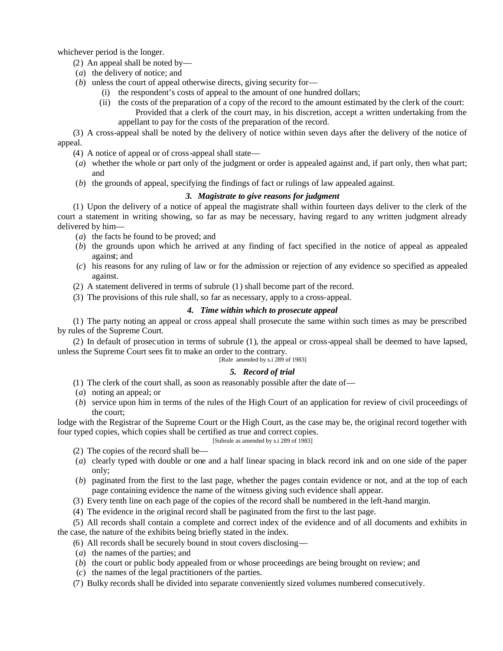whichever period is the longer.

- (2) An appeal shall be noted by—
- (*a*) the delivery of notice; and
- (*b*) unless the court of appeal otherwise directs, giving security for—
	- (i) the respondent's costs of appeal to the amount of one hundred dollars;
	- (ii) the costs of the preparation of a copy of the record to the amount estimated by the clerk of the court: Provided that a clerk of the court may, in his discretion, accept a written undertaking from the appellant to pay for the costs of the preparation of the record.

(3) A cross-appeal shall be noted by the delivery of notice within seven days after the delivery of the notice of appeal.

- (4) A notice of appeal or of cross-appeal shall state—
- (*a*) whether the whole or part only of the judgment or order is appealed against and, if part only, then what part; and
- (*b*) the grounds of appeal, specifying the findings of fact or rulings of law appealed against.

# *3. Magistrate to give reasons for judgment*

(1) Upon the delivery of a notice of appeal the magistrate shall within fourteen days deliver to the clerk of the court a statement in writing showing, so far as may be necessary, having regard to any written judgment already delivered by him—

- (*a*) the facts he found to be proved; and
- (*b*) the grounds upon which he arrived at any finding of fact specified in the notice of appeal as appealed against; and
- (*c*) his reasons for any ruling of law or for the admission or rejection of any evidence so specified as appealed against.
- (2) A statement delivered in terms of subrule (1) shall become part of the record.
- (3) The provisions of this rule shall, so far as necessary, apply to a cross-appeal.

# *4. Time within which to prosecute appeal*

(1) The party noting an appeal or cross appeal shall prosecute the same within such times as may be prescribed by rules of the Supreme Court.

(2) In default of prosecution in terms of subrule (1), the appeal or cross-appeal shall be deemed to have lapsed, unless the Supreme Court sees fit to make an order to the contrary.

[Rule amended by s.i 289 of 1983]

# *5. Record of trial*

- (1) The clerk of the court shall, as soon as reasonably possible after the date of—
- (*a*) noting an appeal; or
- (*b*) service upon him in terms of the rules of the High Court of an application for review of civil proceedings of the court;

lodge with the Registrar of the Supreme Court or the High Court, as the case may be, the original record together with four typed copies, which copies shall be certified as true and correct copies.

[Subrule as amended by s.i 289 of 1983]

- (2) The copies of the record shall be—
- (*a*) clearly typed with double or one and a half linear spacing in black record ink and on one side of the paper only;
- (*b*) paginated from the first to the last page, whether the pages contain evidence or not, and at the top of each page containing evidence the name of the witness giving such evidence shall appear.
- (3) Every tenth line on each page of the copies of the record shall be numbered in the left-hand margin.
- (4) The evidence in the original record shall be paginated from the first to the last page.

(5) All records shall contain a complete and correct index of the evidence and of all documents and exhibits in the case, the nature of the exhibits being briefly stated in the index.

- (6) All records shall be securely bound in stout covers disclosing—
- (*a*) the names of the parties; and
- (*b*) the court or public body appealed from or whose proceedings are being brought on review; and
- (*c*) the names of the legal practitioners of the parties.
- (7) Bulky records shall be divided into separate conveniently sized volumes numbered consecutively.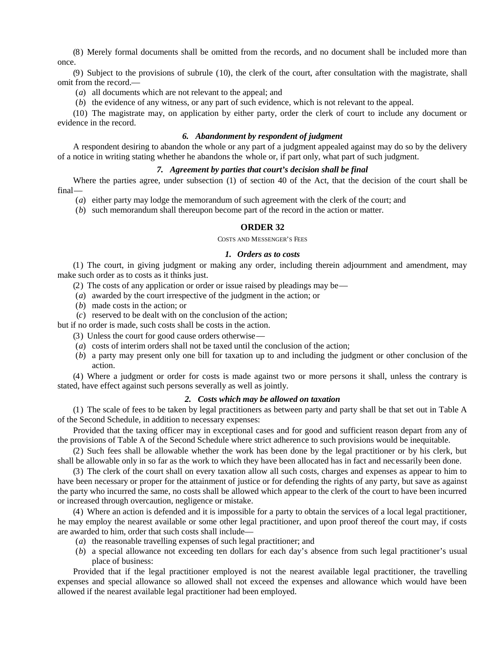(8) Merely formal documents shall be omitted from the records, and no document shall be included more than once.

(9) Subject to the provisions of subrule (10), the clerk of the court, after consultation with the magistrate, shall omit from the record.—

(*a*) all documents which are not relevant to the appeal; and

(*b*) the evidence of any witness, or any part of such evidence, which is not relevant to the appeal.

(10) The magistrate may, on application by either party, order the clerk of court to include any document or evidence in the record.

# *6. Abandonment by respondent of judgment*

A respondent desiring to abandon the whole or any part of a judgment appealed against may do so by the delivery of a notice in writing stating whether he abandons the whole or, if part only, what part of such judgment.

# *7. Agreement by parties that court's decision shall be final*

Where the parties agree, under subsection (1) of section 40 of the Act, that the decision of the court shall be final—

(*a*) either party may lodge the memorandum of such agreement with the clerk of the court; and

(*b*) such memorandum shall thereupon become part of the record in the action or matter.

### **ORDER 32**

### COSTS AND MESSENGER'S FEES

### *1. Orders as to costs*

(1) The court, in giving judgment or making any order, including therein adjournment and amendment, may make such order as to costs as it thinks just.

(2) The costs of any application or order or issue raised by pleadings may be—

- (*a*) awarded by the court irrespective of the judgment in the action; or
- (*b*) made costs in the action; or
- (*c*) reserved to be dealt with on the conclusion of the action;

but if no order is made, such costs shall be costs in the action.

- (3) Unless the court for good cause orders otherwise—
- (*a*) costs of interim orders shall not be taxed until the conclusion of the action;
- (*b*) a party may present only one bill for taxation up to and including the judgment or other conclusion of the action.

(4) Where a judgment or order for costs is made against two or more persons it shall, unless the contrary is stated, have effect against such persons severally as well as jointly.

### *2. Costs which may be allowed on taxation*

(1) The scale of fees to be taken by legal practitioners as between party and party shall be that set out in Table A of the Second Schedule, in addition to necessary expenses:

Provided that the taxing officer may in exceptional cases and for good and sufficient reason depart from any of the provisions of Table A of the Second Schedule where strict adherence to such provisions would be inequitable.

(2) Such fees shall be allowable whether the work has been done by the legal practitioner or by his clerk, but shall be allowable only in so far as the work to which they have been allocated has in fact and necessarily been done.

(3) The clerk of the court shall on every taxation allow all such costs, charges and expenses as appear to him to have been necessary or proper for the attainment of justice or for defending the rights of any party, but save as against the party who incurred the same, no costs shall be allowed which appear to the clerk of the court to have been incurred or increased through overcaution, negligence or mistake.

(4) Where an action is defended and it is impossible for a party to obtain the services of a local legal practitioner, he may employ the nearest available or some other legal practitioner, and upon proof thereof the court may, if costs are awarded to him, order that such costs shall include—

- (*a*) the reasonable travelling expenses of such legal practitioner; and
- (*b*) a special allowance not exceeding ten dollars for each day's absence from such legal practitioner's usual place of business:

Provided that if the legal practitioner employed is not the nearest available legal practitioner, the travelling expenses and special allowance so allowed shall not exceed the expenses and allowance which would have been allowed if the nearest available legal practitioner had been employed.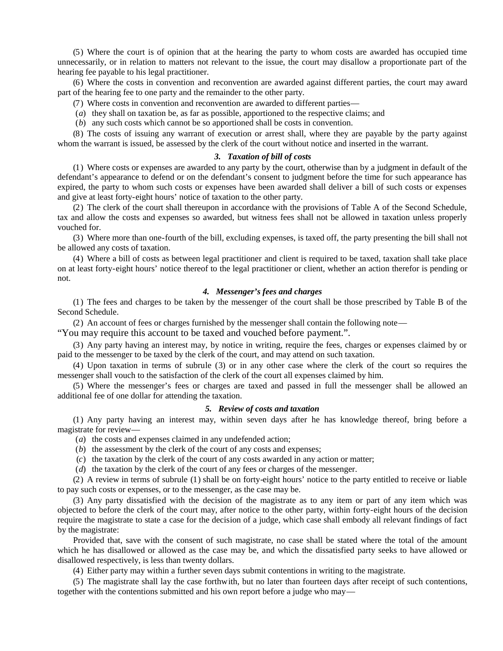(5) Where the court is of opinion that at the hearing the party to whom costs are awarded has occupied time unnecessarily, or in relation to matters not relevant to the issue, the court may disallow a proportionate part of the hearing fee payable to his legal practitioner.

(6) Where the costs in convention and reconvention are awarded against different parties, the court may award part of the hearing fee to one party and the remainder to the other party.

- (7) Where costs in convention and reconvention are awarded to different parties—
- (*a*) they shall on taxation be, as far as possible, apportioned to the respective claims; and
- (*b*) any such costs which cannot be so apportioned shall be costs in convention.

(8) The costs of issuing any warrant of execution or arrest shall, where they are payable by the party against whom the warrant is issued, be assessed by the clerk of the court without notice and inserted in the warrant.

### *3. Taxation of bill of costs*

(1) Where costs or expenses are awarded to any party by the court, otherwise than by a judgment in default of the defendant's appearance to defend or on the defendant's consent to judgment before the time for such appearance has expired, the party to whom such costs or expenses have been awarded shall deliver a bill of such costs or expenses and give at least forty-eight hours' notice of taxation to the other party.

(2) The clerk of the court shall thereupon in accordance with the provisions of Table A of the Second Schedule, tax and allow the costs and expenses so awarded, but witness fees shall not be allowed in taxation unless properly vouched for.

(3) Where more than one-fourth of the bill, excluding expenses, is taxed off, the party presenting the bill shall not be allowed any costs of taxation.

(4) Where a bill of costs as between legal practitioner and client is required to be taxed, taxation shall take place on at least forty-eight hours' notice thereof to the legal practitioner or client, whether an action therefor is pending or not.

### *4. Messenger's fees and charges*

(1) The fees and charges to be taken by the messenger of the court shall be those prescribed by Table B of the Second Schedule.

(2) An account of fees or charges furnished by the messenger shall contain the following note—

"You may require this account to be taxed and vouched before payment.".

(3) Any party having an interest may, by notice in writing, require the fees, charges or expenses claimed by or paid to the messenger to be taxed by the clerk of the court, and may attend on such taxation.

(4) Upon taxation in terms of subrule (3) or in any other case where the clerk of the court so requires the messenger shall vouch to the satisfaction of the clerk of the court all expenses claimed by him.

(5) Where the messenger's fees or charges are taxed and passed in full the messenger shall be allowed an additional fee of one dollar for attending the taxation.

# *5. Review of costs and taxation*

(1) Any party having an interest may, within seven days after he has knowledge thereof, bring before a magistrate for review—

(*a*) the costs and expenses claimed in any undefended action;

- (*b*) the assessment by the clerk of the court of any costs and expenses;
- (*c*) the taxation by the clerk of the court of any costs awarded in any action or matter;
- (*d*) the taxation by the clerk of the court of any fees or charges of the messenger.

(2) A review in terms of subrule (1) shall be on forty-eight hours' notice to the party entitled to receive or liable to pay such costs or expenses, or to the messenger, as the case may be.

(3) Any party dissatisfied with the decision of the magistrate as to any item or part of any item which was objected to before the clerk of the court may, after notice to the other party, within forty-eight hours of the decision require the magistrate to state a case for the decision of a judge, which case shall embody all relevant findings of fact by the magistrate:

Provided that, save with the consent of such magistrate, no case shall be stated where the total of the amount which he has disallowed or allowed as the case may be, and which the dissatisfied party seeks to have allowed or disallowed respectively, is less than twenty dollars.

(4) Either party may within a further seven days submit contentions in writing to the magistrate.

(5) The magistrate shall lay the case forthwith, but no later than fourteen days after receipt of such contentions, together with the contentions submitted and his own report before a judge who may—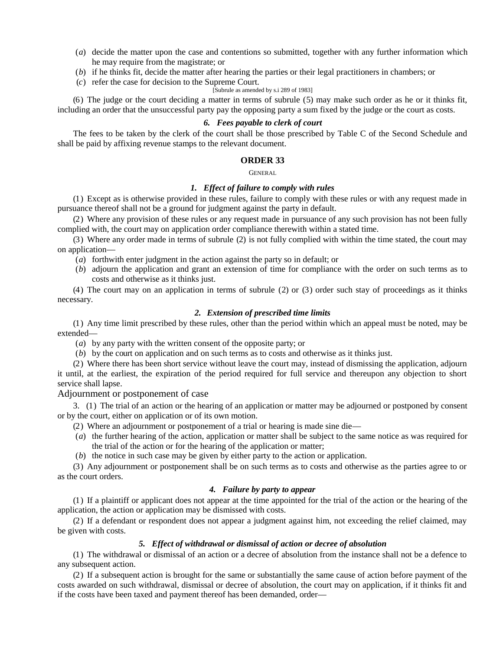- (*a*) decide the matter upon the case and contentions so submitted, together with any further information which he may require from the magistrate; or
- (*b*) if he thinks fit, decide the matter after hearing the parties or their legal practitioners in chambers; or
- (*c*) refer the case for decision to the Supreme Court.

# [Subrule as amended by s.i 289 of 1983]

(6) The judge or the court deciding a matter in terms of subrule (5) may make such order as he or it thinks fit, including an order that the unsuccessful party pay the opposing party a sum fixed by the judge or the court as costs.

### *6. Fees payable to clerk of court*

The fees to be taken by the clerk of the court shall be those prescribed by Table C of the Second Schedule and shall be paid by affixing revenue stamps to the relevant document.

### **ORDER 33**

GENERAL

### *1. Effect of failure to comply with rules*

(1) Except as is otherwise provided in these rules, failure to comply with these rules or with any request made in pursuance thereof shall not be a ground for judgment against the party in default.

(2) Where any provision of these rules or any request made in pursuance of any such provision has not been fully complied with, the court may on application order compliance therewith within a stated time.

(3) Where any order made in terms of subrule (2) is not fully complied with within the time stated, the court may on application—

- (*a*) forthwith enter judgment in the action against the party so in default; or
- (*b*) adjourn the application and grant an extension of time for compliance with the order on such terms as to costs and otherwise as it thinks just.

(4) The court may on an application in terms of subrule (2) or (3) order such stay of proceedings as it thinks necessary.

### *2. Extension of prescribed time limits*

(1) Any time limit prescribed by these rules, other than the period within which an appeal must be noted, may be extended—

- (*a*) by any party with the written consent of the opposite party; or
- (*b*) by the court on application and on such terms as to costs and otherwise as it thinks just.

(2) Where there has been short service without leave the court may, instead of dismissing the application, adjourn it until, at the earliest, the expiration of the period required for full service and thereupon any objection to short service shall lapse.

Adjournment or postponement of case

3. (1) The trial of an action or the hearing of an application or matter may be adjourned or postponed by consent or by the court, either on application or of its own motion.

- (2) Where an adjournment or postponement of a trial or hearing is made sine die—
- (*a*) the further hearing of the action, application or matter shall be subject to the same notice as was required for the trial of the action or for the hearing of the application or matter;
- (*b*) the notice in such case may be given by either party to the action or application.

(3) Any adjournment or postponement shall be on such terms as to costs and otherwise as the parties agree to or as the court orders.

# *4. Failure by party to appear*

(1) If a plaintiff or applicant does not appear at the time appointed for the trial of the action or the hearing of the application, the action or application may be dismissed with costs.

(2) If a defendant or respondent does not appear a judgment against him, not exceeding the relief claimed, may be given with costs.

# *5. Effect of withdrawal or dismissal of action or decree of absolution*

(1) The withdrawal or dismissal of an action or a decree of absolution from the instance shall not be a defence to any subsequent action.

(2) If a subsequent action is brought for the same or substantially the same cause of action before payment of the costs awarded on such withdrawal, dismissal or decree of absolution, the court may on application, if it thinks fit and if the costs have been taxed and payment thereof has been demanded, order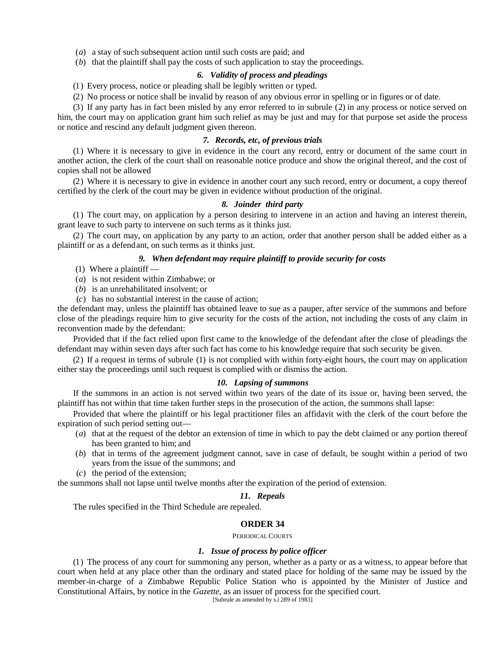(*a*) a stay of such subsequent action until such costs are paid; and

(*b*) that the plaintiff shall pay the costs of such application to stay the proceedings.

#### *6. Validity of process and pleadings*

(1) Every process, notice or pleading shall be legibly written or typed.

(2) No process or notice shall be invalid by reason of any obvious error in spelling or in figures or of date.

(3) If any party has in fact been misled by any error referred to in subrule (2) in any process or notice served on

him, the court may on application grant him such relief as may be just and may for that purpose set aside the process or notice and rescind any default judgment given thereon.

# *7. Records, etc, of previous trials*

(1) Where it is necessary to give in evidence in the court any record, entry or document of the same court in another action, the clerk of the court shall on reasonable notice produce and show the original thereof, and the cost of copies shall not be allowed

(2) Where it is necessary to give in evidence in another court any such record, entry or document, a copy thereof certified by the clerk of the court may be given in evidence without production of the original.

### *8. Joinder third party*

(1) The court may, on application by a person desiring to intervene in an action and having an interest therein, grant leave to such party to intervene on such terms as it thinks just.

(2) The court may, on application by any party to an action, order that another person shall be added either as a plaintiff or as a defendant, on such terms as it thinks just.

### *9. When defendant may require plaintiff to provide security for costs*

 $(1)$  Where a plaintiff —

(*a*) is not resident within Zimbabwe; or

- (*b*) is an unrehabilitated insolvent; or
- (*c*) has no substantial interest in the cause of action;

the defendant may, unless the plaintiff has obtained leave to sue as a pauper, after service of the summons and before close of the pleadings require him to give security for the costs of the action, not including the costs of any claim in reconvention made by the defendant:

Provided that if the fact relied upon first came to the knowledge of the defendant after the close of pleadings the defendant may within seven days after such fact has come to his knowledge require that such security be given.

(2) If a request in terms of subrule (1) is not complied with within forty-eight hours, the court may on application either stay the proceedings until such request is complied with or dismiss the action.

#### *10. Lapsing of summons*

If the summons in an action is not served within two years of the date of its issue or, having been served, the plaintiff has not within that time taken further steps in the prosecution of the action, the summons shall lapse:

Provided that where the plaintiff or his legal practitioner files an affidavit with the clerk of the court before the expiration of such period setting out—

- (*a*) that at the request of the debtor an extension of time in which to pay the debt claimed or any portion thereof has been granted to him; and
- (*b*) that in terms of the agreement judgment cannot, save in case of default, be sought within a period of two years from the issue of the summons; and
- (*c*) the period of the extension;

the summons shall not lapse until twelve months after the expiration of the period of extension.

#### *11. Repeals*

The rules specified in the Third Schedule are repealed.

# **ORDER 34**

#### PERIODICALCOURTS

### *1. Issue of process by police officer*

(1) The process of any court for summoning any person, whether as a party or as a witness, to appear before that court when held at any place other than the ordinary and stated place for holding of the same may be issued by the member-in-charge of a Zimbabwe Republic Police Station who is appointed by the Minister of Justice and Constitutional Affairs, by notice in the *Gazette*, as an issuer of process for the specified court.

[Subrule as amended by s.i 289 of 1983]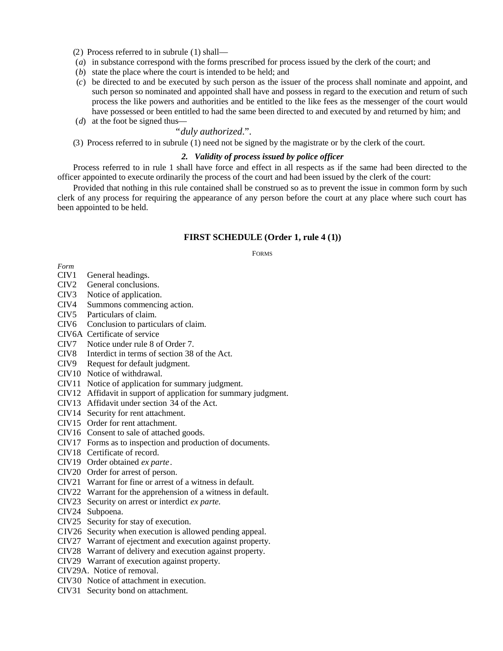- (2) Process referred to in subrule (1) shall—
- (*a*) in substance correspond with the forms prescribed for process issued by the clerk of the court; and
- (*b*) state the place where the court is intended to be held; and
- (*c*) be directed to and be executed by such person as the issuer of the process shall nominate and appoint, and such person so nominated and appointed shall have and possess in regard to the execution and return of such process the like powers and authorities and be entitled to the like fees as the messenger of the court would have possessed or been entitled to had the same been directed to and executed by and returned by him; and
- (*d*) at the foot be signed thus—

# "*duly authorized*.".

(3) Process referred to in subrule (1) need not be signed by the magistrate or by the clerk of the court.

# *2. Validity of process issued by police officer*

Process referred to in rule 1 shall have force and effect in all respects as if the same had been directed to the officer appointed to execute ordinarily the process of the court and had been issued by the clerk of the court:

Provided that nothing in this rule contained shall be construed so as to prevent the issue in common form by such clerk of any process for requiring the appearance of any person before the court at any place where such court has been appointed to be held.

### **FIRST SCHEDULE (Order 1, rule 4 (1))**

FORMS

*Form*

- CIV1 General headings.
- CIV2 General conclusions.
- CIV3 Notice of application.
- CIV4 Summons commencing action.
- CIV5 Particulars of claim.
- CIV6 Conclusion to particulars of claim.
- CIV6A Certificate of service
- CIV7 Notice under rule 8 of Order 7.
- CIV8 Interdict in terms of section 38 of the Act.
- CIV9 Request for default judgment.
- CIV10 Notice of withdrawal.
- CIV11 Notice of application for summary judgment.
- CIV12 Affidavit in support of application for summary judgment.
- CIV13 Affidavit under section 34 of the Act.
- CIV14 Security for rent attachment.
- CIV15 Order for rent attachment.
- CIV16 Consent to sale of attached goods.
- CIV17 Forms as to inspection and production of documents.
- CIV18 Certificate of record.
- CIV19 Order obtained *ex parte*.
- CIV20 Order for arrest of person.
- CIV21 Warrant for fine or arrest of a witness in default.
- CIV22 Warrant for the apprehension of a witness in default.
- CIV23 Security on arrest or interdict *ex parte*.
- CIV24 Subpoena.
- CIV25 Security for stay of execution.
- CIV26 Security when execution is allowed pending appeal.
- CIV27 Warrant of ejectment and execution against property.
- CIV28 Warrant of delivery and execution against property.
- CIV29 Warrant of execution against property.
- CIV29A. Notice of removal.
- CIV30 Notice of attachment in execution.
- CIV31 Security bond on attachment.